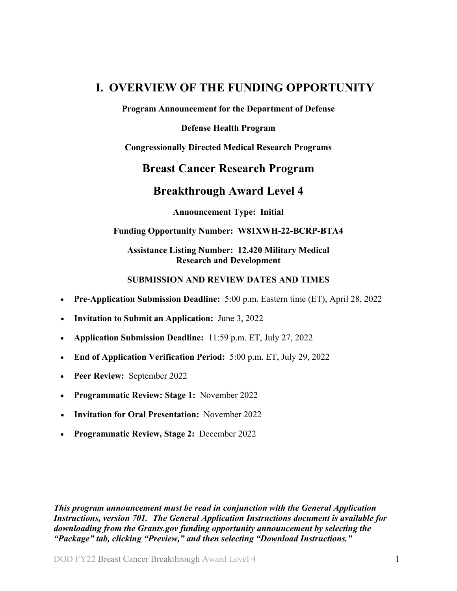# <span id="page-0-0"></span>**I. OVERVIEW OF THE FUNDING OPPORTUNITY**

**Program Announcement for the Department of Defense**

**Defense Health Program**

**Congressionally Directed Medical Research Programs**

## **Breast Cancer Research Program**

## **Breakthrough Award Level 4**

**Announcement Type: Initial** 

## **Funding Opportunity Number: W81XWH-22-BCRP-BTA4**

## **Assistance Listing Number: 12.420 Military Medical Research and Development**

## **SUBMISSION AND REVIEW DATES AND TIMES**

- <span id="page-0-1"></span>• **Pre-Application Submission Deadline:** 5:00 p.m. Eastern time (ET), April 28, 2022
- **Invitation to Submit an Application:** June 3, 2022
- **Application Submission Deadline:** 11:59 p.m. ET, July 27, 2022
- **End of Application Verification Period:** 5:00 p.m. ET, July 29, 2022
- **Peer Review:** September 2022
- **Programmatic Review: Stage 1:** November 2022
- **Invitation for Oral Presentation:** November 2022
- **Programmatic Review, Stage 2:** December 2022

*This program announcement must be read in conjunction with the General Application Instructions, version 701. The General Application Instructions document is available for downloading from the Grants.gov funding opportunity announcement by selecting the "Package" tab, clicking "Preview," and then selecting "Download Instructions."*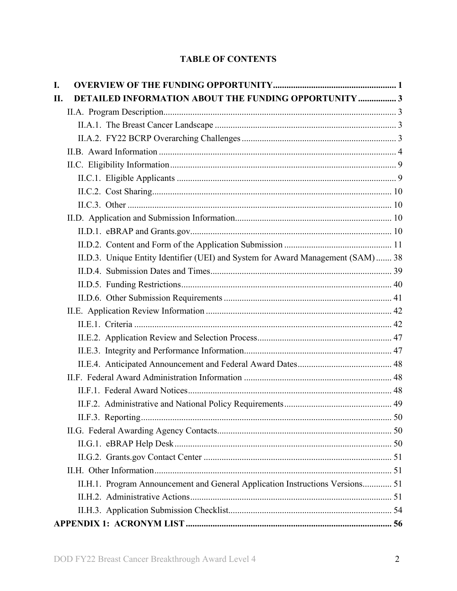## **TABLE OF CONTENTS**

| I.  |                                                                                  |  |
|-----|----------------------------------------------------------------------------------|--|
| II. | <b>DETAILED INFORMATION ABOUT THE FUNDING OPPORTUNITY  3</b>                     |  |
|     |                                                                                  |  |
|     |                                                                                  |  |
|     |                                                                                  |  |
|     |                                                                                  |  |
|     |                                                                                  |  |
|     |                                                                                  |  |
|     |                                                                                  |  |
|     |                                                                                  |  |
|     |                                                                                  |  |
|     |                                                                                  |  |
|     |                                                                                  |  |
|     | II.D.3. Unique Entity Identifier (UEI) and System for Award Management (SAM)  38 |  |
|     |                                                                                  |  |
|     |                                                                                  |  |
|     |                                                                                  |  |
|     |                                                                                  |  |
|     |                                                                                  |  |
|     |                                                                                  |  |
|     |                                                                                  |  |
|     |                                                                                  |  |
|     |                                                                                  |  |
|     |                                                                                  |  |
|     |                                                                                  |  |
|     |                                                                                  |  |
|     |                                                                                  |  |
|     |                                                                                  |  |
|     |                                                                                  |  |
|     |                                                                                  |  |
|     | II.H.1. Program Announcement and General Application Instructions Versions 51    |  |
|     |                                                                                  |  |
|     |                                                                                  |  |
|     |                                                                                  |  |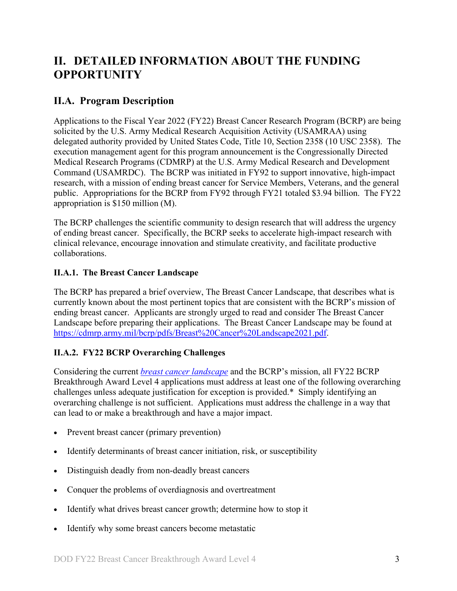# <span id="page-2-0"></span>**II. DETAILED INFORMATION ABOUT THE FUNDING OPPORTUNITY**

## <span id="page-2-1"></span>**II.A. Program Description**

Applications to the Fiscal Year 2022 (FY22) Breast Cancer Research Program (BCRP) are being solicited by the U.S. Army Medical Research Acquisition Activity (USAMRAA) using delegated authority provided by United States Code, Title 10, Section 2358 (10 USC 2358). The execution management agent for this program announcement is the Congressionally Directed Medical Research Programs (CDMRP) at the U.S. Army Medical Research and Development Command (USAMRDC). The BCRP was initiated in FY92 to support innovative, high-impact research, with a mission of ending breast cancer for Service Members, Veterans, and the general public. Appropriations for the BCRP from FY92 through FY21 totaled \$3.94 billion. The FY22 appropriation is \$150 million (M).

The BCRP challenges the scientific community to design research that will address the urgency of ending breast cancer. Specifically, the BCRP seeks to accelerate high-impact research with clinical relevance, encourage innovation and stimulate creativity, and facilitate productive collaborations.

## <span id="page-2-2"></span>**II.A.1. The Breast Cancer Landscape**

The BCRP has prepared a brief overview, The Breast Cancer Landscape, that describes what is currently known about the most pertinent topics that are consistent with the BCRP's mission of ending breast cancer. Applicants are strongly urged to read and consider The Breast Cancer Landscape before preparing their applications. The Breast Cancer Landscape may be found at [https://cdmrp.army.mil/bcrp/pdfs/Breast%20Cancer%20Landscape2021.pdf.](https://cdmrp.army.mil/bcrp/pdfs/Breast%20Cancer%20Landscape2021.pdf)

## <span id="page-2-3"></span>**II.A.2. FY22 BCRP Overarching Challenges**

Considering the current *[breast cancer landscape](https://cdmrp.army.mil/bcrp/pdfs/Breast%20Cancer%20Landscape2021.pdf)* and the BCRP's mission, all FY22 BCRP Breakthrough Award Level 4 applications must address at least one of the following overarching challenges unless adequate justification for exception is provided.\* Simply identifying an overarching challenge is not sufficient. Applications must address the challenge in a way that can lead to or make a breakthrough and have a major impact.

- Prevent breast cancer (primary prevention)
- Identify determinants of breast cancer initiation, risk, or susceptibility
- Distinguish deadly from non-deadly breast cancers
- Conquer the problems of overdiagnosis and overtreatment
- Identify what drives breast cancer growth; determine how to stop it
- Identify why some breast cancers become metastatic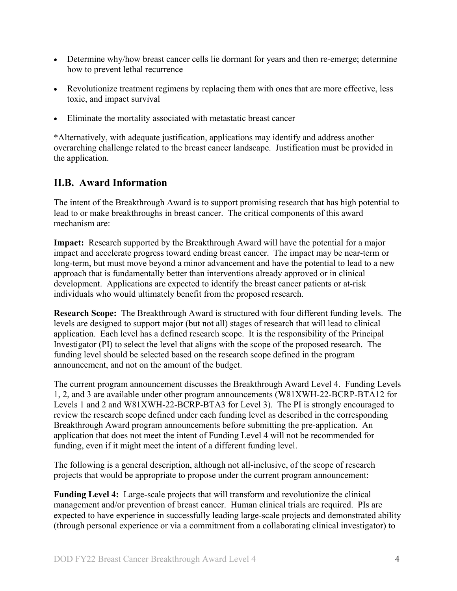- Determine why/how breast cancer cells lie dormant for years and then re-emerge; determine how to prevent lethal recurrence
- Revolutionize treatment regimens by replacing them with ones that are more effective, less toxic, and impact survival
- Eliminate the mortality associated with metastatic breast cancer

\*Alternatively, with adequate justification, applications may identify and address another overarching challenge related to the breast cancer landscape. Justification must be provided in the application.

## <span id="page-3-0"></span>**II.B. Award Information**

The intent of the Breakthrough Award is to support promising research that has high potential to lead to or make breakthroughs in breast cancer. The critical components of this award mechanism are:

**Impact:** Research supported by the Breakthrough Award will have the potential for a major impact and accelerate progress toward ending breast cancer. The impact may be near-term or long-term, but must move beyond a minor advancement and have the potential to lead to a new approach that is fundamentally better than interventions already approved or in clinical development. Applications are expected to identify the breast cancer patients or at-risk individuals who would ultimately benefit from the proposed research.

**Research Scope:** The Breakthrough Award is structured with four different funding levels. The levels are designed to support major (but not all) stages of research that will lead to clinical application. Each level has a defined research scope. It is the responsibility of the Principal Investigator (PI) to select the level that aligns with the scope of the proposed research. The funding level should be selected based on the research scope defined in the program announcement, and not on the amount of the budget.

The current program announcement discusses the Breakthrough Award Level 4. Funding Levels 1, 2, and 3 are available under other program announcements (W81XWH-22-BCRP-BTA12 for Levels 1 and 2 and W81XWH-22-BCRP-BTA3 for Level 3). The PI is strongly encouraged to review the research scope defined under each funding level as described in the corresponding Breakthrough Award program announcements before submitting the pre-application. An application that does not meet the intent of Funding Level 4 will not be recommended for funding, even if it might meet the intent of a different funding level.

The following is a general description, although not all-inclusive, of the scope of research projects that would be appropriate to propose under the current program announcement:

<span id="page-3-1"></span>**Funding Level 4:** Large-scale projects that will transform and revolutionize the clinical management and/or prevention of breast cancer. Human clinical trials are required. PIs are expected to have experience in successfully leading large-scale projects and demonstrated ability (through personal experience or via a commitment from a collaborating clinical investigator) to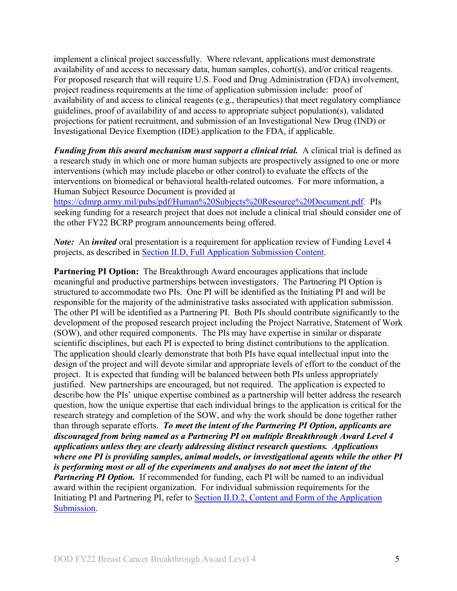implement a clinical project successfully. Where relevant, applications must demonstrate availability of and access to necessary data, human samples, cohort(s), and/or critical reagents. For proposed research that will require U.S. Food and Drug Administration (FDA) involvement, project readiness requirements at the time of application submission include: proof of availability of and access to clinical reagents (e.g., therapeutics) that meet regulatory compliance guidelines, proof of availability of and access to appropriate subject population(s), validated projections for patient recruitment, and submission of an Investigational New Drug (IND) or Investigational Device Exemption (IDE) application to the FDA, if applicable.

*Funding from this award mechanism must support a clinical trial.* A clinical trial is defined as a research study in which one or more human subjects are prospectively assigned to one or more interventions (which may include placebo or other control) to evaluate the effects of the interventions on biomedical or behavioral health-related outcomes. For more information, a Human Subject Resource Document is provided at

[https://cdmrp.army.mil/pubs/pdf/Human%20Subjects%20Resource%20Document.pdf.](https://cdmrp.army.mil/pubs/pdf/Human%20Subjects%20Resource%20Document.pdf) PIs seeking funding for a research project that does not include a clinical trial should consider one of the other FY22 BCRP program announcements being offered.

*Note:* An *invited* oral presentation is a requirement for application review of Funding Level 4 projects, as described in [Section II.D, Full Application Submission Content.](#page-9-2)

**Partnering PI Option:** The Breakthrough Award encourages applications that include meaningful and productive partnerships between investigators. The Partnering PI Option is structured to accommodate two PIs. One PI will be identified as the Initiating PI and will be responsible for the majority of the administrative tasks associated with application submission. The other PI will be identified as a Partnering PI. Both PIs should contribute significantly to the development of the proposed research project including the Project Narrative, Statement of Work (SOW), and other required components. The PIs may have expertise in similar or disparate scientific disciplines, but each PI is expected to bring distinct contributions to the application. The application should clearly demonstrate that both PIs have equal intellectual input into the design of the project and will devote similar and appropriate levels of effort to the conduct of the project. It is expected that funding will be balanced between both PIs unless appropriately justified. New partnerships are encouraged, but not required. The application is expected to describe how the PIs' unique expertise combined as a partnership will better address the research question, how the unique expertise that each individual brings to the application is critical for the research strategy and completion of the SOW, and why the work should be done together rather than through separate efforts. *To meet the intent of the Partnering PI Option, applicants are discouraged from being named as a Partnering PI on multiple Breakthrough Award Level 4 applications unless they are clearly addressing distinct research questions. Applications where one PI is providing samples, animal models, or investigational agents while the other PI is performing most or all of the experiments and analyses do not meet the intent of the Partnering PI Option.* If recommended for funding, each PI will be named to an individual award within the recipient organization. For individual submission requirements for the Initiating PI and Partnering PI, refer to Section [II.D.2, Content and Form of the Application](#page-10-0)  [Submission.](#page-10-0)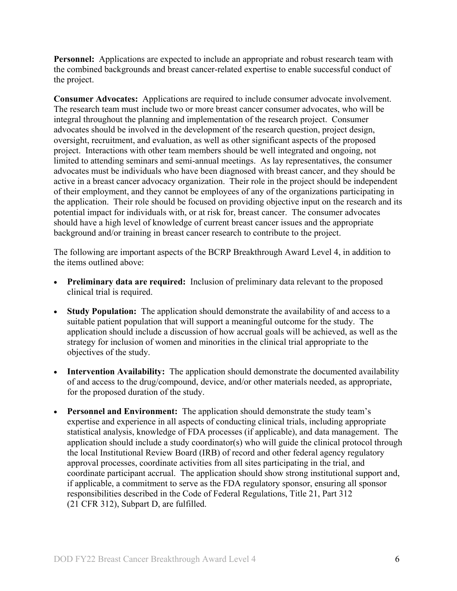**Personnel:** Applications are expected to include an appropriate and robust research team with the combined backgrounds and breast cancer-related expertise to enable successful conduct of the project.

**Consumer Advocates:** Applications are required to include consumer advocate involvement. The research team must include two or more breast cancer consumer advocates, who will be integral throughout the planning and implementation of the research project. Consumer advocates should be involved in the development of the research question, project design, oversight, recruitment, and evaluation, as well as other significant aspects of the proposed project. Interactions with other team members should be well integrated and ongoing, not limited to attending seminars and semi-annual meetings. As lay representatives, the consumer advocates must be individuals who have been diagnosed with breast cancer, and they should be active in a breast cancer advocacy organization. Their role in the project should be independent of their employment, and they cannot be employees of any of the organizations participating in the application. Their role should be focused on providing objective input on the research and its potential impact for individuals with, or at risk for, breast cancer. The consumer advocates should have a high level of knowledge of current breast cancer issues and the appropriate background and/or training in breast cancer research to contribute to the project.

The following are important aspects of the BCRP Breakthrough Award Level 4, in addition to the items outlined above:

- **Preliminary data are required:** Inclusion of preliminary data relevant to the proposed clinical trial is required.
- **Study Population:** The application should demonstrate the availability of and access to a suitable patient population that will support a meaningful outcome for the study. The application should include a discussion of how accrual goals will be achieved, as well as the strategy for inclusion of women and minorities in the clinical trial appropriate to the objectives of the study.
- **Intervention Availability:** The application should demonstrate the documented availability of and access to the drug/compound, device, and/or other materials needed, as appropriate, for the proposed duration of the study.
- **Personnel and Environment:** The application should demonstrate the study team's expertise and experience in all aspects of conducting clinical trials, including appropriate statistical analysis, knowledge of FDA processes (if applicable), and data management. The application should include a study coordinator(s) who will guide the clinical protocol through the local Institutional Review Board (IRB) of record and other federal agency regulatory approval processes, coordinate activities from all sites participating in the trial, and coordinate participant accrual. The application should show strong institutional support and, if applicable, a commitment to serve as the FDA regulatory sponsor, ensuring all sponsor responsibilities described in the Code of Federal Regulations, Title 21, Part 312 (21 CFR 312), Subpart D, are fulfilled.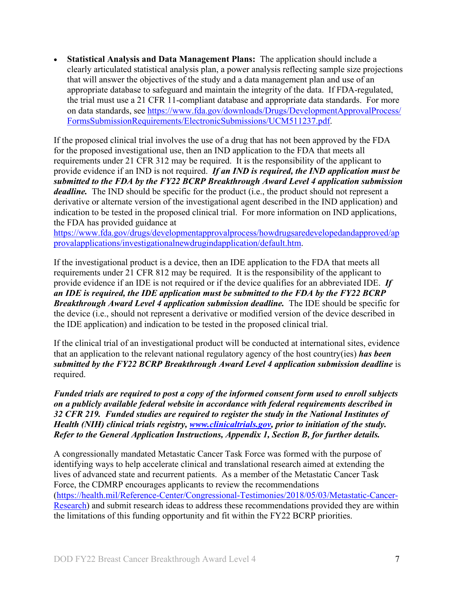• **Statistical Analysis and Data Management Plans:** The application should include a clearly articulated statistical analysis plan, a power analysis reflecting sample size projections that will answer the objectives of the study and a data management plan and use of an appropriate database to safeguard and maintain the integrity of the data. If FDA-regulated, the trial must use a 21 CFR 11-compliant database and appropriate data standards. For more on data standards, see [https://www.fda.gov/downloads/Drugs/DevelopmentApprovalProcess/](https://www.fda.gov/downloads/Drugs/DevelopmentApprovalProcess/FormsSubmissionRequirements/ElectronicSubmissions/UCM511237.pdf) [FormsSubmissionRequirements/ElectronicSubmissions/UCM511237.pdf.](https://www.fda.gov/downloads/Drugs/DevelopmentApprovalProcess/FormsSubmissionRequirements/ElectronicSubmissions/UCM511237.pdf)

If the proposed clinical trial involves the use of a drug that has not been approved by the FDA for the proposed investigational use, then an IND application to the FDA that meets all requirements under 21 CFR 312 may be required. It is the responsibility of the applicant to provide evidence if an IND is not required. *If an IND is required, the IND application must be submitted to the FDA by the FY22 BCRP Breakthrough Award Level 4 application submission deadline.* The IND should be specific for the product (i.e., the product should not represent a derivative or alternate version of the investigational agent described in the IND application) and indication to be tested in the proposed clinical trial. For more information on IND applications, the FDA has provided guidance at

[https://www.fda.gov/drugs/developmentapprovalprocess/howdrugsaredevelopedandapproved/ap](https://www.fda.gov/drugs/developmentapprovalprocess/howdrugsaredevelopedandapproved/approvalapplications/investigationalnewdrugindapplication/default.htm) [provalapplications/investigationalnewdrugindapplication/default.htm.](https://www.fda.gov/drugs/developmentapprovalprocess/howdrugsaredevelopedandapproved/approvalapplications/investigationalnewdrugindapplication/default.htm) 

If the investigational product is a device, then an IDE application to the FDA that meets all requirements under 21 CFR 812 may be required. It is the responsibility of the applicant to provide evidence if an IDE is not required or if the device qualifies for an abbreviated IDE. *If an IDE is required, the IDE application must be submitted to the FDA by the FY22 BCRP Breakthrough Award Level 4 application submission deadline.* The IDE should be specific for the device (i.e., should not represent a derivative or modified version of the device described in the IDE application) and indication to be tested in the proposed clinical trial.

If the clinical trial of an investigational product will be conducted at international sites, evidence that an application to the relevant national regulatory agency of the host country(ies) *has been submitted by the FY22 BCRP Breakthrough Award Level 4 application submission deadline* is required.

*Funded trials are required to post a copy of the informed consent form used to enroll subjects on a publicly available federal website in accordance with federal requirements described in 32 CFR 219. Funded studies are required to register the study in the National Institutes of Health (NIH) clinical trials registry, [www.clinicaltrials.gov,](http://www.clinicaltrials.gov/) prior to initiation of the study. Refer to the General Application Instructions, Appendix 1, Section B, for further details.*

A congressionally mandated Metastatic Cancer Task Force was formed with the purpose of identifying ways to help accelerate clinical and translational research aimed at extending the lives of advanced state and recurrent patients. As a member of the Metastatic Cancer Task Force, the CDMRP encourages applicants to review the recommendations [\(https://health.mil/Reference-Center/Congressional-Testimonies/2018/05/03/Metastatic-Cancer-](https://www.health.mil/Reference-Center/Congressional-Testimonies?refVector=001000000000000&refSrc=130)[Research\)](https://www.health.mil/Reference-Center/Congressional-Testimonies?refVector=001000000000000&refSrc=130) and submit research ideas to address these recommendations provided they are within the limitations of this funding opportunity and fit within the FY22 BCRP priorities.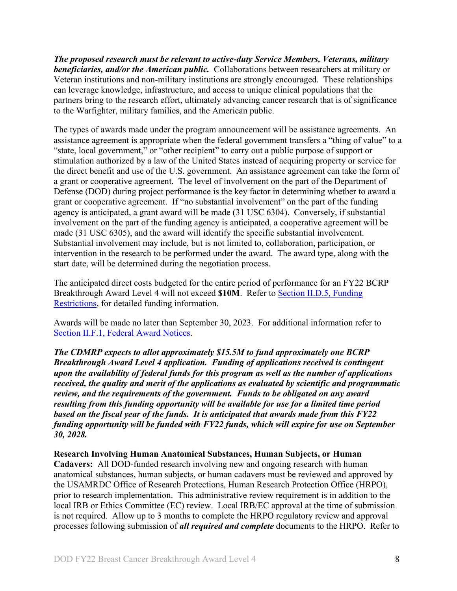*The proposed research must be relevant to active-duty Service Members, Veterans, military beneficiaries, and/or the American public.* Collaborations between researchers at military or Veteran institutions and non-military institutions are strongly encouraged. These relationships can leverage knowledge, infrastructure, and access to unique clinical populations that the partners bring to the research effort, ultimately advancing cancer research that is of significance to the Warfighter, military families, and the American public.

The types of awards made under the program announcement will be assistance agreements. An assistance agreement is appropriate when the federal government transfers a "thing of value" to a "state, local government," or "other recipient" to carry out a public purpose of support or stimulation authorized by a law of the United States instead of acquiring property or service for the direct benefit and use of the U.S. government. An assistance agreement can take the form of a grant or cooperative agreement. The level of involvement on the part of the Department of Defense (DOD) during project performance is the key factor in determining whether to award a grant or cooperative agreement. If "no substantial involvement" on the part of the funding agency is anticipated, a grant award will be made (31 USC 6304). Conversely, if substantial involvement on the part of the funding agency is anticipated, a cooperative agreement will be made (31 USC 6305), and the award will identify the specific substantial involvement. Substantial involvement may include, but is not limited to, collaboration, participation, or intervention in the research to be performed under the award. The award type, along with the start date, will be determined during the negotiation process.

The anticipated direct costs budgeted for the entire period of performance for an FY22 BCRP Breakthrough Award Level 4 will not exceed **\$10M**. Refer to Section [II.D.5, Funding](#page-39-0)  [Restrictions,](#page-39-0) for detailed funding information.

Awards will be made no later than September 30, 2023. For additional information refer to Section [II.F.1, Federal Award Notices.](#page-47-2)

*The CDMRP expects to allot approximately \$15.5M to fund approximately one BCRP Breakthrough Award Level 4 application. Funding of applications received is contingent upon the availability of federal funds for this program as well as the number of applications received, the quality and merit of the applications as evaluated by scientific and programmatic review, and the requirements of the government. Funds to be obligated on any award resulting from this funding opportunity will be available for use for a limited time period based on the fiscal year of the funds. It is anticipated that awards made from this FY22 funding opportunity will be funded with FY22 funds, which will expire for use on September 30, 2028.*

#### **Research Involving Human Anatomical Substances, Human Subjects, or Human**

**Cadavers:** All DOD-funded research involving new and ongoing research with human anatomical substances, human subjects, or human cadavers must be reviewed and approved by the USAMRDC Office of Research Protections, Human Research Protection Office (HRPO), prior to research implementation. This administrative review requirement is in addition to the local IRB or Ethics Committee (EC) review. Local IRB/EC approval at the time of submission is not required. Allow up to 3 months to complete the HRPO regulatory review and approval processes following submission of *all required and complete* documents to the HRPO. Refer to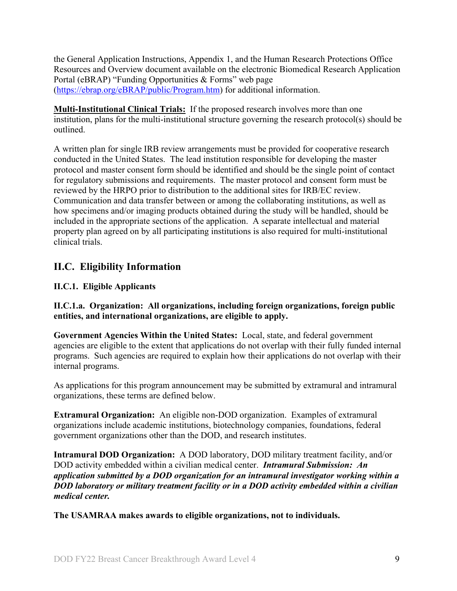the General Application Instructions, Appendix 1, and the Human Research Protections Office Resources and Overview document available on the electronic Biomedical Research Application Portal (eBRAP) "Funding Opportunities & Forms" web page [\(https://ebrap.org/eBRAP/public/Program.htm\)](https://ebrap.org/eBRAP/public/Program.htm) for additional information.

**Multi-Institutional Clinical Trials:** If the proposed research involves more than one institution, plans for the multi-institutional structure governing the research protocol(s) should be outlined.

A written plan for single IRB review arrangements must be provided for cooperative research conducted in the United States. The lead institution responsible for developing the master protocol and master consent form should be identified and should be the single point of contact for regulatory submissions and requirements. The master protocol and consent form must be reviewed by the HRPO prior to distribution to the additional sites for IRB/EC review. Communication and data transfer between or among the collaborating institutions, as well as how specimens and/or imaging products obtained during the study will be handled, should be included in the appropriate sections of the application. A separate intellectual and material property plan agreed on by all participating institutions is also required for multi-institutional clinical trials.

## <span id="page-8-0"></span>**II.C. Eligibility Information**

## <span id="page-8-1"></span>**II.C.1. Eligible Applicants**

<span id="page-8-2"></span>**II.C.1.a. Organization: All organizations, including foreign organizations, foreign public entities, and international organizations, are eligible to apply.** 

**Government Agencies Within the United States:** Local, state, and federal government agencies are eligible to the extent that applications do not overlap with their fully funded internal programs. Such agencies are required to explain how their applications do not overlap with their internal programs.

As applications for this program announcement may be submitted by extramural and intramural organizations, these terms are defined below.

**Extramural Organization:** An eligible non-DOD organization. Examples of extramural organizations include academic institutions, biotechnology companies, foundations, federal government organizations other than the DOD, and research institutes.

**Intramural DOD Organization:** A DOD laboratory, DOD military treatment facility, and/or DOD activity embedded within a civilian medical center. *Intramural Submission:**An application submitted by a DOD organization for an intramural investigator working within a DOD laboratory or military treatment facility or in a DOD activity embedded within a civilian medical center.*

**The USAMRAA makes awards to eligible organizations, not to individuals.**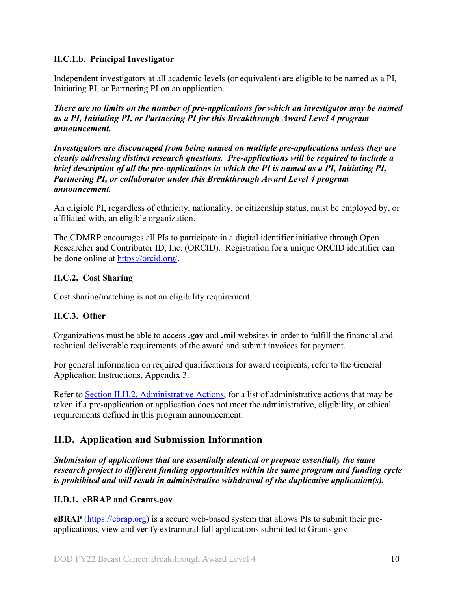## **II.C.1.b. Principal Investigator**

Independent investigators at all academic levels (or equivalent) are eligible to be named as a PI, Initiating PI, or Partnering PI on an application.

*There are no limits on the number of pre-applications for which an investigator may be named as a PI, Initiating PI, or Partnering PI for this Breakthrough Award Level 4 program announcement.*

*Investigators are discouraged from being named on multiple pre-applications unless they are clearly addressing distinct research questions. Pre-applications will be required to include a brief description of all the pre-applications in which the PI is named as a PI, Initiating PI, Partnering PI, or collaborator under this Breakthrough Award Level 4 program announcement.*

An eligible PI, regardless of ethnicity, nationality, or citizenship status, must be employed by, or affiliated with, an eligible organization.

The CDMRP encourages all PIs to participate in a digital identifier initiative through Open Researcher and Contributor ID, Inc. (ORCID). Registration for a unique ORCID identifier can be done online at [https://orcid.org/.](https://orcid.org/)

## <span id="page-9-0"></span>**II.C.2. Cost Sharing**

Cost sharing/matching is not an eligibility requirement.

## <span id="page-9-1"></span>**II.C.3. Other**

Organizations must be able to access **.gov** and **.mil** websites in order to fulfill the financial and technical deliverable requirements of the award and submit invoices for payment.

For general information on required qualifications for award recipients, refer to the General Application Instructions, Appendix 3.

Refer to [Section II.H.2, Administrative Actions,](#page-50-3) for a list of administrative actions that may be taken if a pre-application or application does not meet the administrative, eligibility, or ethical requirements defined in this program announcement.

## <span id="page-9-2"></span>**II.D. Application and Submission Information**

*Submission of applications that are essentially identical or propose essentially the same research project to different funding opportunities within the same program and funding cycle is prohibited and will result in administrative withdrawal of the duplicative application(s).*

## <span id="page-9-3"></span>**II.D.1. eBRAP and Grants.gov**

**eBRAP** [\(https://ebrap.org\)](https://ebrap.org/) is a secure web-based system that allows PIs to submit their preapplications, view and verify extramural full applications submitted to Grants.gov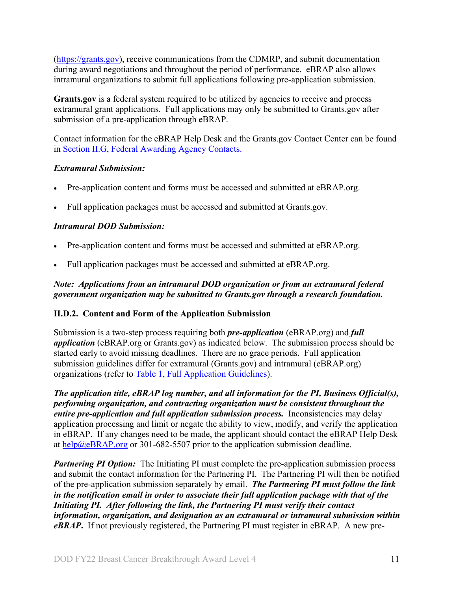[\(https://grants.gov\)](https://grants.gov/), receive communications from the CDMRP, and submit documentation during award negotiations and throughout the period of performance. eBRAP also allows intramural organizations to submit full applications following pre-application submission.

Grants.gov is a federal system required to be utilized by agencies to receive and process extramural grant applications. Full applications may only be submitted to Grants.gov after submission of a pre-application through eBRAP.

Contact information for the eBRAP Help Desk and the Grants.gov Contact Center can be found in [Section II.G, Federal Awarding Agency Contacts.](#page-49-1)

## *Extramural Submission:*

- Pre-application content and forms must be accessed and submitted at eBRAP.org.
- Full application packages must be accessed and submitted at Grants.gov.

#### *Intramural DOD Submission:*

- Pre-application content and forms must be accessed and submitted at eBRAP.org.
- Full application packages must be accessed and submitted at eBRAP.org.

### *Note: Applications from an intramural DOD organization or from an extramural federal government organization may be submitted to Grants.gov through a research foundation.*

## <span id="page-10-0"></span>**II.D.2. Content and Form of the Application Submission**

Submission is a two-step process requiring both *pre-application* (eBRAP.org) and *full application* (eBRAP.org or Grants.gov) as indicated below. The submission process should be started early to avoid missing deadlines. There are no grace periods. Full application submission guidelines differ for extramural (Grants.gov) and intramural (eBRAP.org) organizations (refer to [Table 1, Full Application Guidelines\)](#page-15-0).

*The application title, eBRAP log number, and all information for the PI, Business Official(s), performing organization, and contracting organization must be consistent throughout the entire pre-application and full application submission process.* Inconsistencies may delay application processing and limit or negate the ability to view, modify, and verify the application in eBRAP. If any changes need to be made, the applicant should contact the eBRAP Help Desk at [help@eBRAP.org](mailto:help@eBRAP.org) or 301-682-5507 prior to the application submission deadline.

*Partnering PI Option:* The Initiating PI must complete the pre-application submission process and submit the contact information for the Partnering PI. The Partnering PI will then be notified of the pre-application submission separately by email. *The Partnering PI must follow the link in the notification email in order to associate their full application package with that of the Initiating PI. After following the link, the Partnering PI must verify their contact information, organization, and designation as an extramural or intramural submission within eBRAP***.** If not previously registered, the Partnering PI must register in eBRAP. A new pre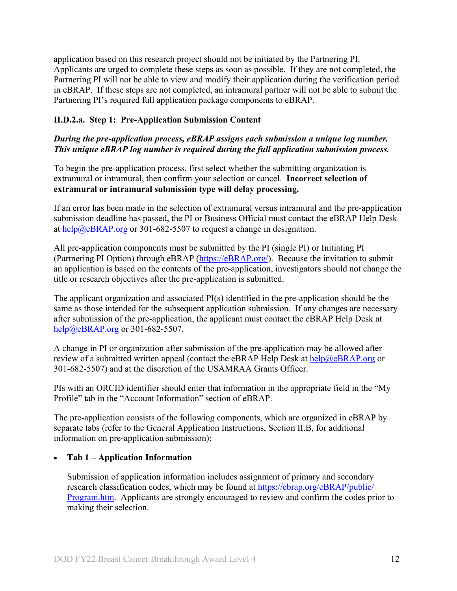application based on this research project should not be initiated by the Partnering PI. Applicants are urged to complete these steps as soon as possible. If they are not completed, the Partnering PI will not be able to view and modify their application during the verification period in eBRAP. If these steps are not completed, an intramural partner will not be able to submit the Partnering PI's required full application package components to eBRAP.

## **II.D.2.a. Step 1: Pre-Application Submission Content**

## *During the pre-application process, eBRAP assigns each submission a unique log number. This unique eBRAP log number is required during the full application submission process.*

To begin the pre-application process, first select whether the submitting organization is extramural or intramural, then confirm your selection or cancel. **Incorrect selection of extramural or intramural submission type will delay processing.**

If an error has been made in the selection of extramural versus intramural and the pre-application submission deadline has passed, the PI or Business Official must contact the eBRAP Help Desk at  $\frac{help@eBRAP.org}{$  or 301-682-5507 to request a change in designation.

All pre-application components must be submitted by the PI (single PI) or Initiating PI (Partnering PI Option) through eBRAP [\(https://eBRAP.org/\)](https://ebrap.org/). Because the invitation to submit an application is based on the contents of the pre-application, investigators should not change the title or research objectives after the pre-application is submitted.

The applicant organization and associated PI(s) identified in the pre-application should be the same as those intended for the subsequent application submission. If any changes are necessary after submission of the pre-application, the applicant must contact the eBRAP Help Desk at [help@eBRAP.org](mailto:help@eBRAP.org) or 301-682-5507.

A change in PI or organization after submission of the pre-application may be allowed after review of a submitted written appeal (contact the eBRAP Help Desk at  $\frac{heb}{a}eBRAP.org$  or 301-682-5507) and at the discretion of the USAMRAA Grants Officer.

PIs with an ORCID identifier should enter that information in the appropriate field in the "My Profile" tab in the "Account Information" section of eBRAP.

The pre-application consists of the following components, which are organized in eBRAP by separate tabs (refer to the General Application Instructions, Section II.B, for additional information on pre-application submission):

## • **Tab 1 – Application Information**

Submission of application information includes assignment of primary and secondary research classification codes, which may be found at [https://ebrap.org/eBRAP/public/](https://ebrap.org/eBRAP/public/Program.htm) [Program.htm.](https://ebrap.org/eBRAP/public/Program.htm) Applicants are strongly encouraged to review and confirm the codes prior to making their selection.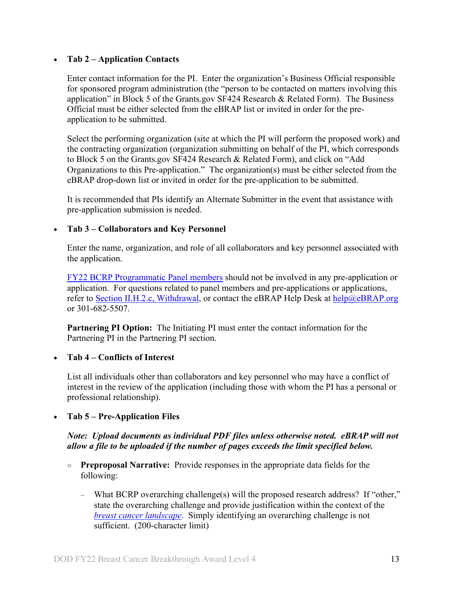#### • **Tab 2 – Application Contacts**

Enter contact information for the PI. Enter the organization's Business Official responsible for sponsored program administration (the "person to be contacted on matters involving this application" in Block 5 of the Grants.gov SF424 Research & Related Form). The Business Official must be either selected from the eBRAP list or invited in order for the preapplication to be submitted.

Select the performing organization (site at which the PI will perform the proposed work) and the contracting organization (organization submitting on behalf of the PI, which corresponds to Block 5 on the Grants.gov SF424 Research & Related Form), and click on "Add Organizations to this Pre-application." The organization(s) must be either selected from the eBRAP drop-down list or invited in order for the pre-application to be submitted.

It is recommended that PIs identify an Alternate Submitter in the event that assistance with pre-application submission is needed.

#### • **Tab 3 – Collaborators and Key Personnel**

Enter the name, organization, and role of all collaborators and key personnel associated with the application.

[FY22 BCRP Programmatic Panel members](https://cdmrp.army.mil/bcrp/panels/panels22) should not be involved in any pre-application or application. For questions related to panel members and pre-applications or applications, refer to Section [II.H.2.c, Withdrawal,](#page-51-0) or contact the eBRAP Help Desk at [help@eBRAP.org](mailto:help@eBRAP.org) or 301-682-5507.

**Partnering PI Option:** The Initiating PI must enter the contact information for the Partnering PI in the Partnering PI section.

#### • **Tab 4 – Conflicts of Interest**

List all individuals other than collaborators and key personnel who may have a conflict of interest in the review of the application (including those with whom the PI has a personal or professional relationship).

## • **Tab 5 – Pre-Application Files**

#### *Note: Upload documents as individual PDF files unless otherwise noted. eBRAP will not allow a file to be uploaded if the number of pages exceeds the limit specified below.*

- **Preproposal Narrative:** Provide responses in the appropriate data fields for the following:
	- What BCRP overarching challenge(s) will the proposed research address? If "other," state the overarching challenge and provide justification within the context of the *[breast cancer landscape](https://cdmrp.army.mil/bcrp/pdfs/Breast%20Cancer%20Landscape2021.pdf)*. Simply identifying an overarching challenge is not sufficient. (200-character limit)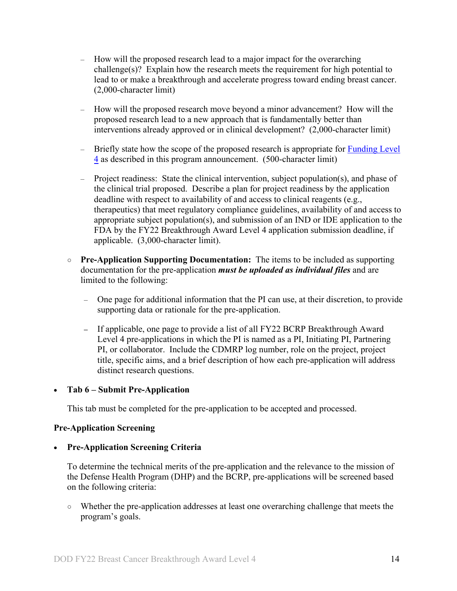- How will the proposed research lead to a major impact for the overarching challenge(s)? Explain how the research meets the requirement for high potential to lead to or make a breakthrough and accelerate progress toward ending breast cancer. (2,000-character limit)
- How will the proposed research move beyond a minor advancement? How will the proposed research lead to a new approach that is fundamentally better than interventions already approved or in clinical development? (2,000-character limit)
- $-$  Briefly state how the scope of the proposed research is appropriate for Funding Level [4](#page-3-1) as described in this program announcement. (500-character limit)
- Project readiness: State the clinical intervention, subject population(s), and phase of the clinical trial proposed. Describe a plan for project readiness by the application deadline with respect to availability of and access to clinical reagents (e.g., therapeutics) that meet regulatory compliance guidelines, availability of and access to appropriate subject population(s), and submission of an IND or IDE application to the FDA by the FY22 Breakthrough Award Level 4 application submission deadline, if applicable. (3,000-character limit).
- **○ Pre-Application Supporting Documentation:** The items to be included as supporting documentation for the pre-application *must be uploaded as individual files* and are limited to the following:
	- One page for additional information that the PI can use, at their discretion, to provide supporting data or rationale for the pre-application.
	- **–** If applicable, one page to provide a list of all FY22 BCRP Breakthrough Award Level 4 pre-applications in which the PI is named as a PI, Initiating PI, Partnering PI, or collaborator. Include the CDMRP log number, role on the project, project title, specific aims, and a brief description of how each pre-application will address distinct research questions.

#### • **Tab 6 – Submit Pre-Application**

This tab must be completed for the pre-application to be accepted and processed.

#### **Pre-Application Screening**

## • **Pre-Application Screening Criteria**

To determine the technical merits of the pre-application and the relevance to the mission of the Defense Health Program (DHP) and the BCRP, pre-applications will be screened based on the following criteria:

○ Whether the pre-application addresses at least one overarching challenge that meets the program's goals.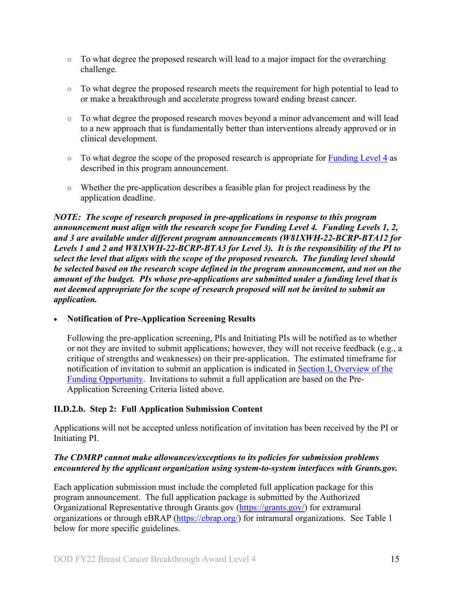- To what degree the proposed research will lead to a major impact for the overarching challenge.
- To what degree the proposed research meets the requirement for high potential to lead to or make a breakthrough and accelerate progress toward ending breast cancer.
- To what degree the proposed research moves beyond a minor advancement and will lead to a new approach that is fundamentally better than interventions already approved or in clinical development.
- To what degree the scope of the proposed research is appropriate for **Funding Level 4** as described in this program announcement.
- Whether the pre-application describes a feasible plan for project readiness by the application deadline.

*NOTE: The scope of research proposed in pre-applications in response to this program announcement must align with the research scope for Funding Level 4. Funding Levels 1, 2, and 3 are available under different program announcements (W81XWH-22-BCRP-BTA12 for Levels 1 and 2 and W81XWH-22-BCRP-BTA3 for Level 3). It is the responsibility of the PI to select the level that aligns with the scope of the proposed research. The funding level should be selected based on the research scope defined in the program announcement, and not on the amount of the budget. PIs whose pre-applications are submitted under a funding level that is not deemed appropriate for the scope of research proposed will not be invited to submit an application.*

## • **Notification of Pre-Application Screening Results**

Following the pre-application screening, PIs and Initiating PIs will be notified as to whether or not they are invited to submit applications; however, they will not receive feedback (e.g., a critique of strengths and weaknesses) on their pre-application. The estimated timeframe for notification of invitation to submit an application is indicated in Section [I, Overview of the](#page-0-1)  [Funding Opportunity.](#page-0-1) Invitations to submit a full application are based on the Pre-Application Screening Criteria listed above.

## **II.D.2.b. Step 2: Full Application Submission Content**

Applications will not be accepted unless notification of invitation has been received by the PI or Initiating PI.

## *The CDMRP cannot make allowances/exceptions to its policies for submission problems encountered by the applicant organization using system-to-system interfaces with Grants.gov.*

Each application submission must include the completed full application package for this program announcement. The full application package is submitted by the Authorized Organizational Representative through Grants.gov [\(https://grants.gov/\)](https://grants.gov/) for extramural organizations or through eBRAP [\(https://ebrap.org/\)](https://ebrap.org/) for intramural organizations. See Table 1 below for more specific guidelines.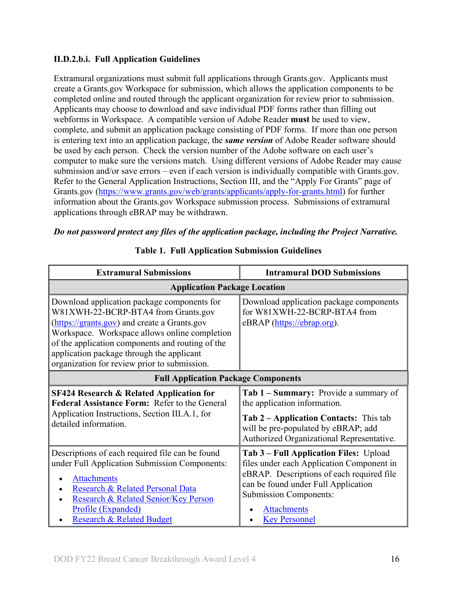## **II.D.2.b.i. Full Application Guidelines**

Extramural organizations must submit full applications through Grants.gov. Applicants must create a Grants.gov Workspace for submission, which allows the application components to be completed online and routed through the applicant organization for review prior to submission. Applicants may choose to download and save individual PDF forms rather than filling out webforms in Workspace. A compatible version of Adobe Reader **must** be used to view, complete, and submit an application package consisting of PDF forms. If more than one person is entering text into an application package, the *same version* of Adobe Reader software should be used by each person. Check the version number of the Adobe software on each user's computer to make sure the versions match. Using different versions of Adobe Reader may cause submission and/or save errors – even if each version is individually compatible with Grants.gov. Refer to the General Application Instructions, Section III, and the "Apply For Grants" page of Grants.gov [\(https://www.grants.gov/web/grants/applicants/apply-for-grants.html\)](https://www.grants.gov/web/grants/applicants/apply-for-grants.html) for further information about the Grants.gov Workspace submission process. Submissions of extramural applications through eBRAP may be withdrawn.

## <span id="page-15-0"></span>*Do not password protect any files of the application package, including the Project Narrative.*

| <b>Extramural Submissions</b>                                                                                                                                                                                                                                                                                                        | <b>Intramural DOD Submissions</b>                                                                                                                                                                                                                      |  |  |
|--------------------------------------------------------------------------------------------------------------------------------------------------------------------------------------------------------------------------------------------------------------------------------------------------------------------------------------|--------------------------------------------------------------------------------------------------------------------------------------------------------------------------------------------------------------------------------------------------------|--|--|
| <b>Application Package Location</b>                                                                                                                                                                                                                                                                                                  |                                                                                                                                                                                                                                                        |  |  |
| Download application package components for<br>W81XWH-22-BCRP-BTA4 from Grants.gov<br>(https://grants.gov) and create a Grants.gov<br>Workspace. Workspace allows online completion<br>of the application components and routing of the<br>application package through the applicant<br>organization for review prior to submission. | Download application package components<br>for W81XWH-22-BCRP-BTA4 from<br>eBRAP (https://ebrap.org).                                                                                                                                                  |  |  |
| <b>Full Application Package Components</b>                                                                                                                                                                                                                                                                                           |                                                                                                                                                                                                                                                        |  |  |
| <b>SF424 Research &amp; Related Application for</b><br><b>Federal Assistance Form: Refer to the General</b><br>Application Instructions, Section III.A.1, for<br>detailed information.                                                                                                                                               | <b>Tab 1 – Summary:</b> Provide a summary of<br>the application information.<br>Tab 2 – Application Contacts: This tab<br>will be pre-populated by eBRAP; add<br>Authorized Organizational Representative.                                             |  |  |
| Descriptions of each required file can be found<br>under Full Application Submission Components:<br><b>Attachments</b><br>Research & Related Personal Data<br>Research & Related Senior/Key Person<br>Profile (Expanded)<br><b>Research &amp; Related Budget</b>                                                                     | Tab 3 - Full Application Files: Upload<br>files under each Application Component in<br>eBRAP. Descriptions of each required file<br>can be found under Full Application<br><b>Submission Components:</b><br><b>Attachments</b><br><b>Key Personnel</b> |  |  |

## **Table 1. Full Application Submission Guidelines**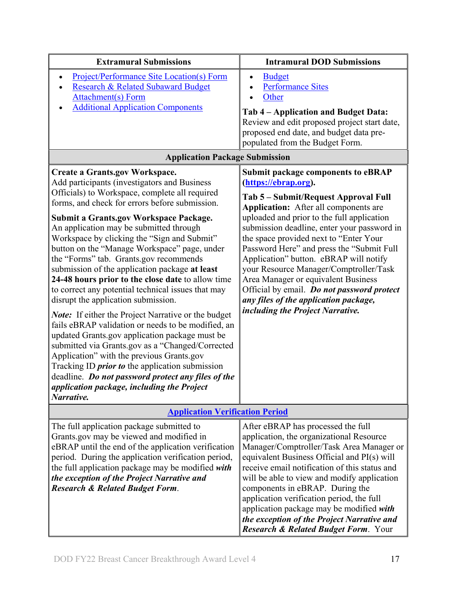| <b>Extramural Submissions</b>                                                                                                                                                                                                                                                                                                                                                                                                                                                                                                                                                                                                                                                                                                                                                                                                                                                                                                                                                                                             | <b>Intramural DOD Submissions</b>                                                                                                                                                                                                                                                                                                                                                                                                                                                                                                                                                                   |  |
|---------------------------------------------------------------------------------------------------------------------------------------------------------------------------------------------------------------------------------------------------------------------------------------------------------------------------------------------------------------------------------------------------------------------------------------------------------------------------------------------------------------------------------------------------------------------------------------------------------------------------------------------------------------------------------------------------------------------------------------------------------------------------------------------------------------------------------------------------------------------------------------------------------------------------------------------------------------------------------------------------------------------------|-----------------------------------------------------------------------------------------------------------------------------------------------------------------------------------------------------------------------------------------------------------------------------------------------------------------------------------------------------------------------------------------------------------------------------------------------------------------------------------------------------------------------------------------------------------------------------------------------------|--|
| <b>Project/Performance Site Location(s) Form</b><br>Research & Related Subaward Budget<br>Attachment(s) Form<br><b>Additional Application Components</b>                                                                                                                                                                                                                                                                                                                                                                                                                                                                                                                                                                                                                                                                                                                                                                                                                                                                  | <b>Budget</b><br>$\bullet$<br><b>Performance Sites</b><br>Other<br>Tab 4 – Application and Budget Data:                                                                                                                                                                                                                                                                                                                                                                                                                                                                                             |  |
|                                                                                                                                                                                                                                                                                                                                                                                                                                                                                                                                                                                                                                                                                                                                                                                                                                                                                                                                                                                                                           | Review and edit proposed project start date,<br>proposed end date, and budget data pre-<br>populated from the Budget Form.                                                                                                                                                                                                                                                                                                                                                                                                                                                                          |  |
| <b>Application Package Submission</b>                                                                                                                                                                                                                                                                                                                                                                                                                                                                                                                                                                                                                                                                                                                                                                                                                                                                                                                                                                                     |                                                                                                                                                                                                                                                                                                                                                                                                                                                                                                                                                                                                     |  |
| <b>Create a Grants.gov Workspace.</b><br>Add participants (investigators and Business<br>Officials) to Workspace, complete all required<br>forms, and check for errors before submission.<br><b>Submit a Grants.gov Workspace Package.</b><br>An application may be submitted through<br>Workspace by clicking the "Sign and Submit"<br>button on the "Manage Workspace" page, under<br>the "Forms" tab. Grants.gov recommends<br>submission of the application package at least<br>24-48 hours prior to the close date to allow time<br>to correct any potential technical issues that may<br>disrupt the application submission.<br><b>Note:</b> If either the Project Narrative or the budget<br>fails eBRAP validation or needs to be modified, an<br>updated Grants.gov application package must be<br>submitted via Grants.gov as a "Changed/Corrected<br>Application" with the previous Grants.gov<br>Tracking ID <i>prior to</i> the application submission<br>deadline. Do not password protect any files of the | <b>Submit package components to eBRAP</b><br>(https://ebrap.org).<br>Tab 5 – Submit/Request Approval Full<br><b>Application:</b> After all components are<br>uploaded and prior to the full application<br>submission deadline, enter your password in<br>the space provided next to "Enter Your<br>Password Here" and press the "Submit Full<br>Application" button. eBRAP will notify<br>your Resource Manager/Comptroller/Task<br>Area Manager or equivalent Business<br>Official by email. Do not password protect<br>any files of the application package,<br>including the Project Narrative. |  |
| application package, including the Project<br>Narrative.                                                                                                                                                                                                                                                                                                                                                                                                                                                                                                                                                                                                                                                                                                                                                                                                                                                                                                                                                                  |                                                                                                                                                                                                                                                                                                                                                                                                                                                                                                                                                                                                     |  |
| <b>Application Verification Period</b>                                                                                                                                                                                                                                                                                                                                                                                                                                                                                                                                                                                                                                                                                                                                                                                                                                                                                                                                                                                    |                                                                                                                                                                                                                                                                                                                                                                                                                                                                                                                                                                                                     |  |
| The full application package submitted to<br>Grants.gov may be viewed and modified in<br>eBRAP until the end of the application verification<br>period. During the application verification period,<br>the full application package may be modified with<br>the exception of the Project Narrative and<br><b>Research &amp; Related Budget Form.</b>                                                                                                                                                                                                                                                                                                                                                                                                                                                                                                                                                                                                                                                                      | After eBRAP has processed the full<br>application, the organizational Resource<br>Manager/Comptroller/Task Area Manager or<br>equivalent Business Official and PI(s) will<br>receive email notification of this status and<br>will be able to view and modify application<br>components in eBRAP. During the<br>application verification period, the full<br>application package may be modified with<br>the exception of the Project Narrative and<br><b>Research &amp; Related Budget Form. Your</b>                                                                                              |  |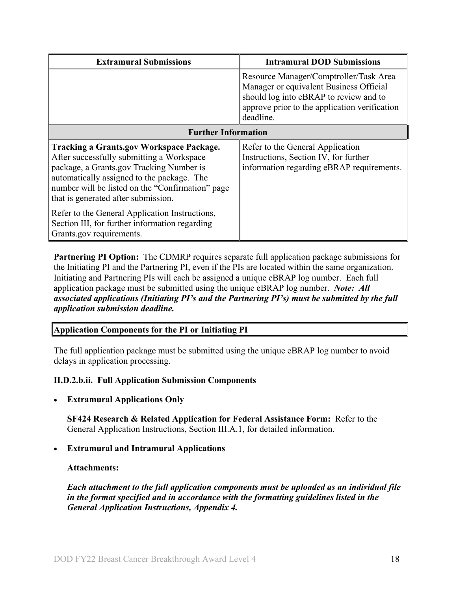| <b>Extramural Submissions</b>                                                                                                                                                                                                                                                     | <b>Intramural DOD Submissions</b>                                                                                                                                                         |  |
|-----------------------------------------------------------------------------------------------------------------------------------------------------------------------------------------------------------------------------------------------------------------------------------|-------------------------------------------------------------------------------------------------------------------------------------------------------------------------------------------|--|
|                                                                                                                                                                                                                                                                                   | Resource Manager/Comptroller/Task Area<br>Manager or equivalent Business Official<br>should log into eBRAP to review and to<br>approve prior to the application verification<br>deadline. |  |
| <b>Further Information</b>                                                                                                                                                                                                                                                        |                                                                                                                                                                                           |  |
| <b>Tracking a Grants.gov Workspace Package.</b><br>After successfully submitting a Workspace<br>package, a Grants.gov Tracking Number is<br>automatically assigned to the package. The<br>number will be listed on the "Confirmation" page<br>that is generated after submission. | Refer to the General Application<br>Instructions, Section IV, for further<br>information regarding eBRAP requirements.                                                                    |  |
| Refer to the General Application Instructions,<br>Section III, for further information regarding<br>Grants.gov requirements.                                                                                                                                                      |                                                                                                                                                                                           |  |

**Partnering PI Option:** The CDMRP requires separate full application package submissions for the Initiating PI and the Partnering PI, even if the PIs are located within the same organization. Initiating and Partnering PIs will each be assigned a unique eBRAP log number. Each full application package must be submitted using the unique eBRAP log number. *Note: All associated applications (Initiating PI's and the Partnering PI's) must be submitted by the full application submission deadline.*

**Application Components for the PI or Initiating PI**

The full application package must be submitted using the unique eBRAP log number to avoid delays in application processing.

## **II.D.2.b.ii. Full Application Submission Components**

• **Extramural Applications Only** 

**SF424 Research & Related Application for Federal Assistance Form:** Refer to the General Application Instructions, Section III.A.1, for detailed information.

• **Extramural and Intramural Applications** 

## <span id="page-17-0"></span>**Attachments:**

*Each attachment to the full application components must be uploaded as an individual file in the format specified and in accordance with the formatting guidelines listed in the General Application Instructions, Appendix 4.*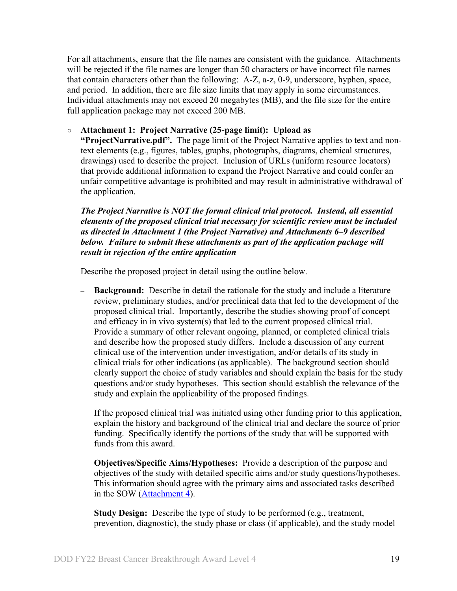For all attachments, ensure that the file names are consistent with the guidance. Attachments will be rejected if the file names are longer than 50 characters or have incorrect file names that contain characters other than the following: A-Z, a-z, 0-9, underscore, hyphen, space, and period. In addition, there are file size limits that may apply in some circumstances. Individual attachments may not exceed 20 megabytes (MB), and the file size for the entire full application package may not exceed 200 MB.

#### ○ **Attachment 1: Project Narrative (25-page limit): Upload as**

**"ProjectNarrative.pdf".** The page limit of the Project Narrative applies to text and nontext elements (e.g., figures, tables, graphs, photographs, diagrams, chemical structures, drawings) used to describe the project. Inclusion of URLs (uniform resource locators) that provide additional information to expand the Project Narrative and could confer an unfair competitive advantage is prohibited and may result in administrative withdrawal of the application.

*The Project Narrative is NOT the formal clinical trial protocol. Instead, all essential elements of the proposed clinical trial necessary for scientific review must be included as directed in Attachment 1 (the Project Narrative) and Attachments 6–9 described below. Failure to submit these attachments as part of the application package will result in rejection of the entire application*

Describe the proposed project in detail using the outline below.

– **Background:** Describe in detail the rationale for the study and include a literature review, preliminary studies, and/or preclinical data that led to the development of the proposed clinical trial. Importantly, describe the studies showing proof of concept and efficacy in in vivo system(s) that led to the current proposed clinical trial. Provide a summary of other relevant ongoing, planned, or completed clinical trials and describe how the proposed study differs. Include a discussion of any current clinical use of the intervention under investigation, and/or details of its study in clinical trials for other indications (as applicable). The background section should clearly support the choice of study variables and should explain the basis for the study questions and/or study hypotheses. This section should establish the relevance of the study and explain the applicability of the proposed findings.

If the proposed clinical trial was initiated using other funding prior to this application, explain the history and background of the clinical trial and declare the source of prior funding. Specifically identify the portions of the study that will be supported with funds from this award.

- **Objectives/Specific Aims/Hypotheses:** Provide a description of the purpose and objectives of the study with detailed specific aims and/or study questions/hypotheses. This information should agree with the primary aims and associated tasks described in the SOW [\(Attachment 4\)](#page-22-0).
- **Study Design:** Describe the type of study to be performed (e.g., treatment, prevention, diagnostic), the study phase or class (if applicable), and the study model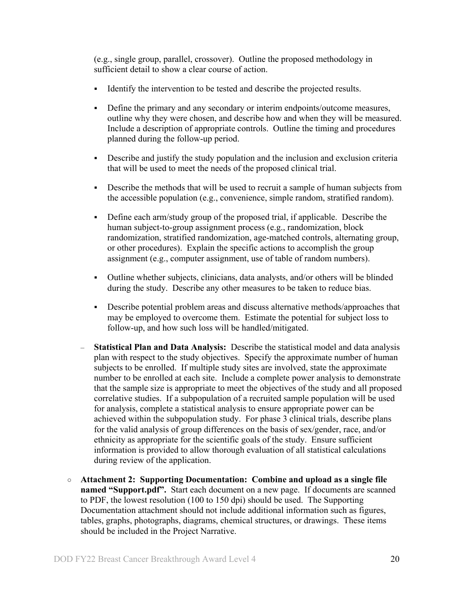(e.g., single group, parallel, crossover). Outline the proposed methodology in sufficient detail to show a clear course of action.

- Identify the intervention to be tested and describe the projected results.
- Define the primary and any secondary or interim endpoints/outcome measures, outline why they were chosen, and describe how and when they will be measured. Include a description of appropriate controls. Outline the timing and procedures planned during the follow-up period.
- Describe and justify the study population and the inclusion and exclusion criteria that will be used to meet the needs of the proposed clinical trial.
- Describe the methods that will be used to recruit a sample of human subjects from the accessible population (e.g., convenience, simple random, stratified random).
- Define each arm/study group of the proposed trial, if applicable. Describe the human subject-to-group assignment process (e.g., randomization, block randomization, stratified randomization, age-matched controls, alternating group, or other procedures). Explain the specific actions to accomplish the group assignment (e.g., computer assignment, use of table of random numbers).
- Outline whether subjects, clinicians, data analysts, and/or others will be blinded during the study. Describe any other measures to be taken to reduce bias.
- Describe potential problem areas and discuss alternative methods/approaches that may be employed to overcome them. Estimate the potential for subject loss to follow-up, and how such loss will be handled/mitigated.
- **Statistical Plan and Data Analysis:** Describe the statistical model and data analysis plan with respect to the study objectives. Specify the approximate number of human subjects to be enrolled. If multiple study sites are involved, state the approximate number to be enrolled at each site. Include a complete power analysis to demonstrate that the sample size is appropriate to meet the objectives of the study and all proposed correlative studies. If a subpopulation of a recruited sample population will be used for analysis, complete a statistical analysis to ensure appropriate power can be achieved within the subpopulation study. For phase 3 clinical trials, describe plans for the valid analysis of group differences on the basis of sex/gender, race, and/or ethnicity as appropriate for the scientific goals of the study. Ensure sufficient information is provided to allow thorough evaluation of all statistical calculations during review of the application.
- **Attachment 2: Supporting Documentation: Combine and upload as a single file named "Support.pdf".** Start each document on a new page. If documents are scanned to PDF, the lowest resolution (100 to 150 dpi) should be used. The Supporting Documentation attachment should not include additional information such as figures, tables, graphs, photographs, diagrams, chemical structures, or drawings. These items should be included in the Project Narrative.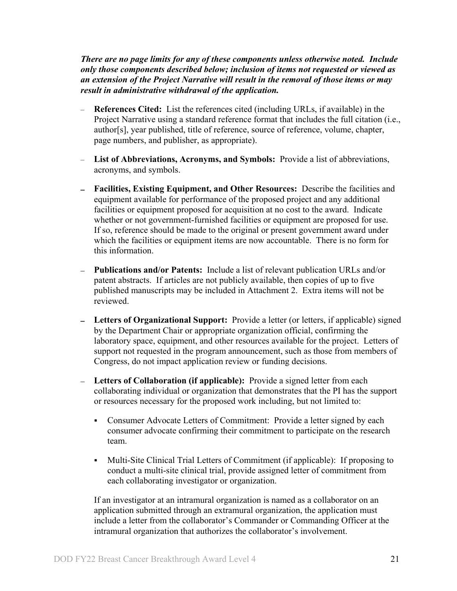*There are no page limits for any of these components unless otherwise noted. Include only those components described below; inclusion of items not requested or viewed as an extension of the Project Narrative will result in the removal of those items or may result in administrative withdrawal of the application.*

- **References Cited:** List the references cited (including URLs, if available) in the Project Narrative using a standard reference format that includes the full citation (i.e., author[s], year published, title of reference, source of reference, volume, chapter, page numbers, and publisher, as appropriate).
- **List of Abbreviations, Acronyms, and Symbols:** Provide a list of abbreviations, acronyms, and symbols.
- **Facilities, Existing Equipment, and Other Resources:** Describe the facilities and equipment available for performance of the proposed project and any additional facilities or equipment proposed for acquisition at no cost to the award. Indicate whether or not government-furnished facilities or equipment are proposed for use. If so, reference should be made to the original or present government award under which the facilities or equipment items are now accountable. There is no form for this information.
- **Publications and/or Patents:** Include a list of relevant publication URLs and/or patent abstracts. If articles are not publicly available, then copies of up to five published manuscripts may be included in Attachment 2. Extra items will not be reviewed.
- **Letters of Organizational Support:** Provide a letter (or letters, if applicable) signed by the Department Chair or appropriate organization official, confirming the laboratory space, equipment, and other resources available for the project. Letters of support not requested in the program announcement, such as those from members of Congress, do not impact application review or funding decisions.
- **Letters of Collaboration (if applicable):** Provide a signed letter from each collaborating individual or organization that demonstrates that the PI has the support or resources necessary for the proposed work including, but not limited to:
	- Consumer Advocate Letters of Commitment: Provide a letter signed by each consumer advocate confirming their commitment to participate on the research team.
	- Multi-Site Clinical Trial Letters of Commitment (if applicable): If proposing to conduct a multi-site clinical trial, provide assigned letter of commitment from each collaborating investigator or organization.

If an investigator at an intramural organization is named as a collaborator on an application submitted through an extramural organization, the application must include a letter from the collaborator's Commander or Commanding Officer at the intramural organization that authorizes the collaborator's involvement.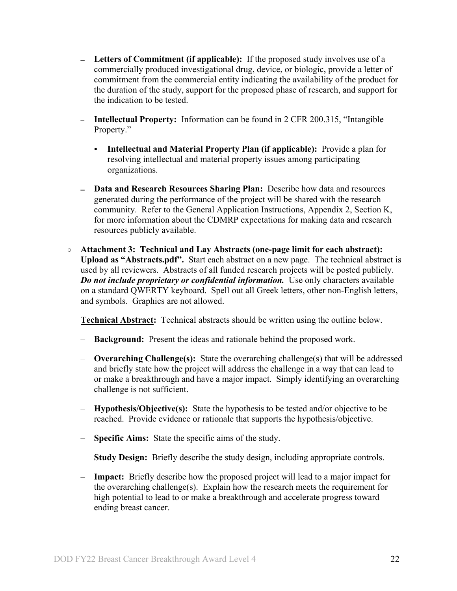- **Letters of Commitment (if applicable):** If the proposed study involves use of a commercially produced investigational drug, device, or biologic, provide a letter of commitment from the commercial entity indicating the availability of the product for the duration of the study, support for the proposed phase of research, and support for the indication to be tested.
- **Intellectual Property:** Information can be found in 2 CFR 200.315, "Intangible Property."
	- **Intellectual and Material Property Plan (if applicable):** Provide a plan for resolving intellectual and material property issues among participating organizations.
- **Data and Research Resources Sharing Plan:** Describe how data and resources generated during the performance of the project will be shared with the research community. Refer to the General Application Instructions, Appendix 2, Section K, for more information about the CDMRP expectations for making data and research resources publicly available.
- **Attachment 3: Technical and Lay Abstracts (one-page limit for each abstract): Upload as "Abstracts.pdf".** Start each abstract on a new page. The technical abstract is used by all reviewers. Abstracts of all funded research projects will be posted publicly. *Do not include proprietary or confidential information.* Use only characters available on a standard QWERTY keyboard. Spell out all Greek letters, other non-English letters, and symbols. Graphics are not allowed.

**Technical Abstract:** Technical abstracts should be written using the outline below.

- **Background:** Present the ideas and rationale behind the proposed work.
- **Overarching Challenge(s):** State the overarching challenge(s) that will be addressed and briefly state how the project will address the challenge in a way that can lead to or make a breakthrough and have a major impact. Simply identifying an overarching challenge is not sufficient.
- **Hypothesis/Objective(s):** State the hypothesis to be tested and/or objective to be reached. Provide evidence or rationale that supports the hypothesis/objective.
- **Specific Aims:** State the specific aims of the study.
- **Study Design:** Briefly describe the study design, including appropriate controls.
- **Impact:** Briefly describe how the proposed project will lead to a major impact for the overarching challenge(s). Explain how the research meets the requirement for high potential to lead to or make a breakthrough and accelerate progress toward ending breast cancer.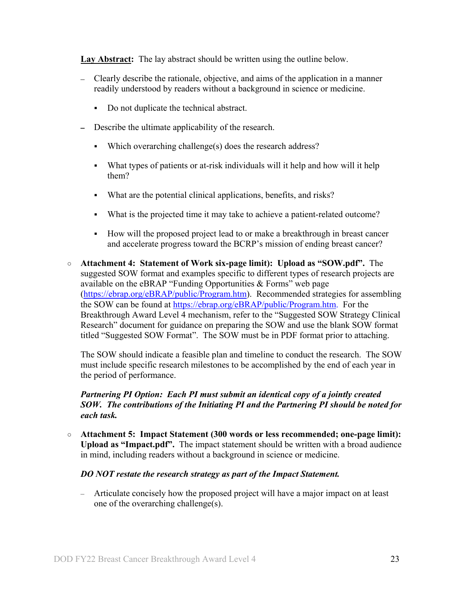Lay Abstract: The lay abstract should be written using the outline below.

- Clearly describe the rationale, objective, and aims of the application in a manner readily understood by readers without a background in science or medicine.
	- Do not duplicate the technical abstract.
- Describe the ultimate applicability of the research.  $\equiv$ 
	- Which overarching challenge $(s)$  does the research address?
	- What types of patients or at-risk individuals will it help and how will it help them?
	- What are the potential clinical applications, benefits, and risks?
	- What is the projected time it may take to achieve a patient-related outcome?
	- How will the proposed project lead to or make a breakthrough in breast cancer and accelerate progress toward the BCRP's mission of ending breast cancer?
- <span id="page-22-0"></span>○ **Attachment 4: Statement of Work six-page limit): Upload as "SOW.pdf".** The suggested SOW format and examples specific to different types of research projects are available on the eBRAP "Funding Opportunities & Forms" web page [\(https://ebrap.org/eBRAP/public/Program.htm\)](https://ebrap.org/eBRAP/public/Program.htm). Recommended strategies for assembling the SOW can be found at [https://ebrap.org/eBRAP/public/Program.htm.](https://ebrap.org/eBRAP/public/Program.htm) For the Breakthrough Award Level 4 mechanism, refer to the "Suggested SOW Strategy Clinical Research" document for guidance on preparing the SOW and use the blank SOW format titled "Suggested SOW Format". The SOW must be in PDF format prior to attaching.

The SOW should indicate a feasible plan and timeline to conduct the research. The SOW must include specific research milestones to be accomplished by the end of each year in the period of performance.

### *Partnering PI Option: Each PI must submit an identical copy of a jointly created SOW. The contributions of the Initiating PI and the Partnering PI should be noted for each task.*

○ **Attachment 5: Impact Statement (300 words or less recommended; one-page limit): Upload as "Impact.pdf".** The impact statement should be written with a broad audience in mind, including readers without a background in science or medicine.

#### *DO NOT restate the research strategy as part of the Impact Statement.*

– Articulate concisely how the proposed project will have a major impact on at least one of the overarching challenge(s).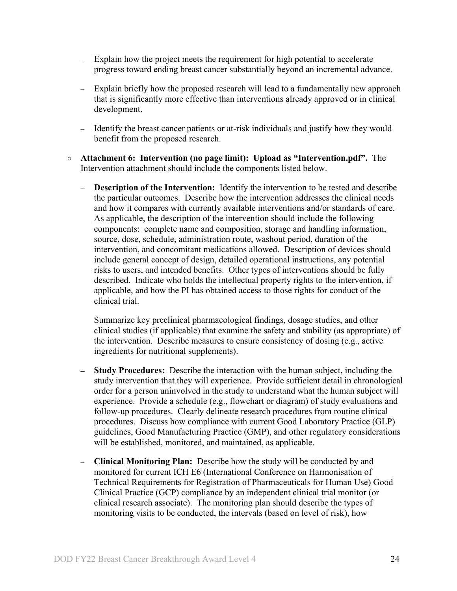- Explain how the project meets the requirement for high potential to accelerate progress toward ending breast cancer substantially beyond an incremental advance.
- Explain briefly how the proposed research will lead to a fundamentally new approach that is significantly more effective than interventions already approved or in clinical development.
- Identify the breast cancer patients or at-risk individuals and justify how they would benefit from the proposed research.
- <span id="page-23-0"></span>○ **Attachment 6: Intervention (no page limit): Upload as "Intervention.pdf".** The Intervention attachment should include the components listed below.
	- $\equiv$ **Description of the Intervention:** Identify the intervention to be tested and describe the particular outcomes. Describe how the intervention addresses the clinical needs and how it compares with currently available interventions and/or standards of care. As applicable, the description of the intervention should include the following components: complete name and composition, storage and handling information, source, dose, schedule, administration route, washout period, duration of the intervention, and concomitant medications allowed. Description of devices should include general concept of design, detailed operational instructions, any potential risks to users, and intended benefits. Other types of interventions should be fully described. Indicate who holds the intellectual property rights to the intervention, if applicable, and how the PI has obtained access to those rights for conduct of the clinical trial.

Summarize key preclinical pharmacological findings, dosage studies, and other clinical studies (if applicable) that examine the safety and stability (as appropriate) of the intervention. Describe measures to ensure consistency of dosing (e.g., active ingredients for nutritional supplements).

- **Study Procedures:** Describe the interaction with the human subject, including the study intervention that they will experience. Provide sufficient detail in chronological order for a person uninvolved in the study to understand what the human subject will experience. Provide a schedule (e.g., flowchart or diagram) of study evaluations and follow-up procedures. Clearly delineate research procedures from routine clinical procedures. Discuss how compliance with current Good Laboratory Practice (GLP) guidelines, Good Manufacturing Practice (GMP), and other regulatory considerations will be established, monitored, and maintained, as applicable.
- **Clinical Monitoring Plan:** Describe how the study will be conducted by and monitored for current ICH E6 (International Conference on Harmonisation of Technical Requirements for Registration of Pharmaceuticals for Human Use) Good Clinical Practice (GCP) compliance by an independent clinical trial monitor (or clinical research associate). The monitoring plan should describe the types of monitoring visits to be conducted, the intervals (based on level of risk), how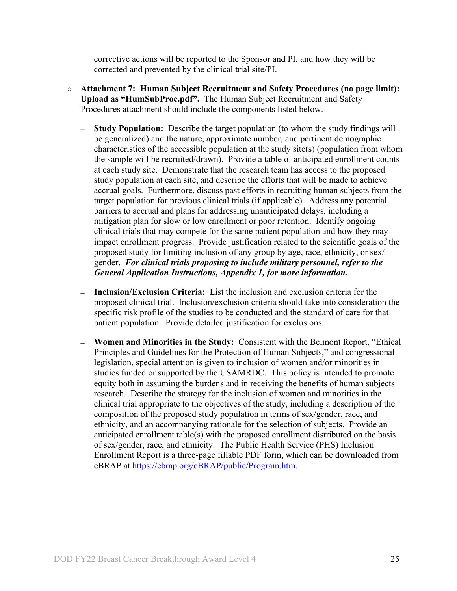corrective actions will be reported to the Sponsor and PI, and how they will be corrected and prevented by the clinical trial site/PI.

- <span id="page-24-0"></span>○ **Attachment 7: Human Subject Recruitment and Safety Procedures (no page limit): Upload as "HumSubProc.pdf".** The Human Subject Recruitment and Safety Procedures attachment should include the components listed below.
	- **Study Population:** Describe the target population (to whom the study findings will be generalized) and the nature, approximate number, and pertinent demographic characteristics of the accessible population at the study site(s) (population from whom the sample will be recruited/drawn). Provide a table of anticipated enrollment counts at each study site. Demonstrate that the research team has access to the proposed study population at each site, and describe the efforts that will be made to achieve accrual goals. Furthermore, discuss past efforts in recruiting human subjects from the target population for previous clinical trials (if applicable). Address any potential barriers to accrual and plans for addressing unanticipated delays, including a mitigation plan for slow or low enrollment or poor retention. Identify ongoing clinical trials that may compete for the same patient population and how they may impact enrollment progress. Provide justification related to the scientific goals of the proposed study for limiting inclusion of any group by age, race, ethnicity, or sex/ gender. *For clinical trials proposing to include military personnel, refer to the General Application Instructions, Appendix 1, for more information.*
	- **Inclusion/Exclusion Criteria:** List the inclusion and exclusion criteria for the proposed clinical trial. Inclusion/exclusion criteria should take into consideration the specific risk profile of the studies to be conducted and the standard of care for that patient population. Provide detailed justification for exclusions.
	- **Women and Minorities in the Study:**Consistent with the Belmont Report, "Ethical Principles and Guidelines for the Protection of Human Subjects," and congressional legislation, special attention is given to inclusion of women and/or minorities in studies funded or supported by the USAMRDC. This policy is intended to promote equity both in assuming the burdens and in receiving the benefits of human subjects research. Describe the strategy for the inclusion of women and minorities in the clinical trial appropriate to the objectives of the study, including a description of the composition of the proposed study population in terms of sex/gender, race, and ethnicity, and an accompanying rationale for the selection of subjects. Provide an anticipated enrollment table(s) with the proposed enrollment distributed on the basis of sex/gender, race, and ethnicity. The Public Health Service (PHS) Inclusion Enrollment Report is a three-page fillable PDF form, which can be downloaded from eBRAP at [https://ebrap.org/eBRAP/public/Program.htm.](https://ebrap.org/eBRAP/public/Program.htm)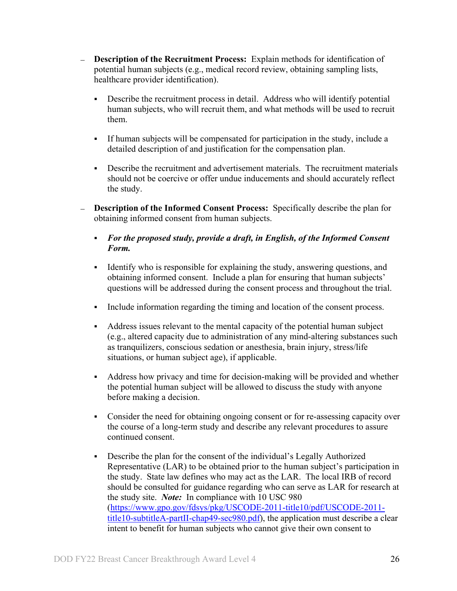- **Description of the Recruitment Process:** Explain methods for identification of potential human subjects (e.g., medical record review, obtaining sampling lists, healthcare provider identification).
	- Describe the recruitment process in detail. Address who will identify potential human subjects, who will recruit them, and what methods will be used to recruit them.
	- If human subjects will be compensated for participation in the study, include a detailed description of and justification for the compensation plan.
	- Describe the recruitment and advertisement materials. The recruitment materials should not be coercive or offer undue inducements and should accurately reflect the study.
- **Description of the Informed Consent Process:** Specifically describe the plan for obtaining informed consent from human subjects.
	- *For the proposed study, provide a draft, in English, of the Informed Consent Form.*
	- Identify who is responsible for explaining the study, answering questions, and obtaining informed consent. Include a plan for ensuring that human subjects' questions will be addressed during the consent process and throughout the trial.
	- Include information regarding the timing and location of the consent process.
	- Address issues relevant to the mental capacity of the potential human subject (e.g., altered capacity due to administration of any mind-altering substances such as tranquilizers, conscious sedation or anesthesia, brain injury, stress/life situations, or human subject age), if applicable.
	- Address how privacy and time for decision-making will be provided and whether the potential human subject will be allowed to discuss the study with anyone before making a decision.
	- Consider the need for obtaining ongoing consent or for re-assessing capacity over the course of a long-term study and describe any relevant procedures to assure continued consent.
	- Describe the plan for the consent of the individual's Legally Authorized Representative (LAR) to be obtained prior to the human subject's participation in the study. State law defines who may act as the LAR. The local IRB of record should be consulted for guidance regarding who can serve as LAR for research at the study site. *Note:* In compliance with 10 USC 980 [\(https://www.gpo.gov/fdsys/pkg/USCODE-2011-title10/pdf/USCODE-2011](https://www.gpo.gov/fdsys/pkg/USCODE-2011-title10/pdf/USCODE-2011-title10-subtitleA-partII-chap49-sec980.pdf) [title10-subtitleA-partII-chap49-sec980.pdf\)](https://www.gpo.gov/fdsys/pkg/USCODE-2011-title10/pdf/USCODE-2011-title10-subtitleA-partII-chap49-sec980.pdf), the application must describe a clear intent to benefit for human subjects who cannot give their own consent to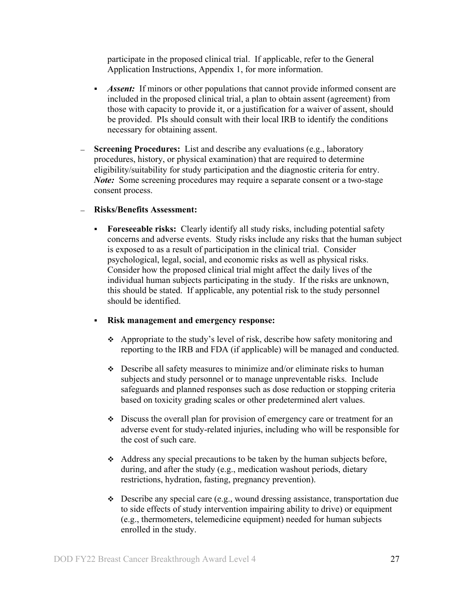participate in the proposed clinical trial. If applicable, refer to the General Application Instructions, Appendix 1, for more information.

- *Assent:* If minors or other populations that cannot provide informed consent are included in the proposed clinical trial, a plan to obtain assent (agreement) from those with capacity to provide it, or a justification for a waiver of assent, should be provided. PIs should consult with their local IRB to identify the conditions necessary for obtaining assent.
- **Screening Procedures:** List and describe any evaluations (e.g., laboratory procedures, history, or physical examination) that are required to determine eligibility/suitability for study participation and the diagnostic criteria for entry. *Note:* Some screening procedures may require a separate consent or a two-stage consent process.

#### **Risks/Benefits Assessment:**

 **Foreseeable risks:** Clearly identify all study risks, including potential safety concerns and adverse events. Study risks include any risks that the human subject is exposed to as a result of participation in the clinical trial. Consider psychological, legal, social, and economic risks as well as physical risks. Consider how the proposed clinical trial might affect the daily lives of the individual human subjects participating in the study. If the risks are unknown, this should be stated. If applicable, any potential risk to the study personnel should be identified.

## **Risk management and emergency response:**

- Appropriate to the study's level of risk, describe how safety monitoring and reporting to the IRB and FDA (if applicable) will be managed and conducted.
- Describe all safety measures to minimize and/or eliminate risks to human subjects and study personnel or to manage unpreventable risks. Include safeguards and planned responses such as dose reduction or stopping criteria based on toxicity grading scales or other predetermined alert values.
- $\bullet$  Discuss the overall plan for provision of emergency care or treatment for an adverse event for study-related injuries, including who will be responsible for the cost of such care.
- Address any special precautions to be taken by the human subjects before, during, and after the study (e.g., medication washout periods, dietary restrictions, hydration, fasting, pregnancy prevention).
- $\bullet$  Describe any special care (e.g., wound dressing assistance, transportation due to side effects of study intervention impairing ability to drive) or equipment (e.g., thermometers, telemedicine equipment) needed for human subjects enrolled in the study.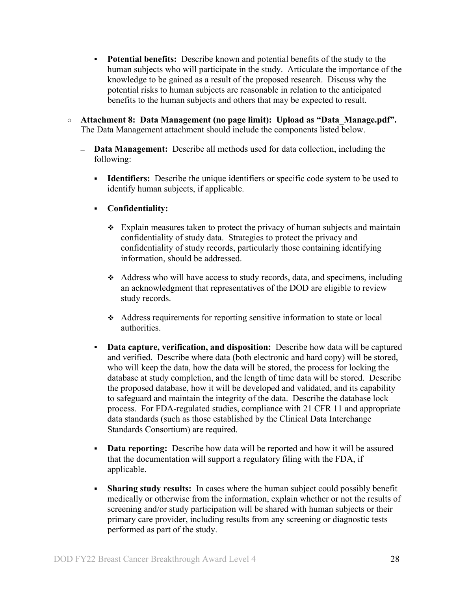- **Potential benefits:** Describe known and potential benefits of the study to the human subjects who will participate in the study. Articulate the importance of the knowledge to be gained as a result of the proposed research. Discuss why the potential risks to human subjects are reasonable in relation to the anticipated benefits to the human subjects and others that may be expected to result.
- <span id="page-27-0"></span>○ **Attachment 8: Data Management (no page limit): Upload as "Data\_Manage.pdf".** The Data Management attachment should include the components listed below.
	- **Data Management:** Describe all methods used for data collection, including the following:
		- **Identifiers:** Describe the unique identifiers or specific code system to be used to identify human subjects, if applicable.
		- **Confidentiality:**
			- $\div$  Explain measures taken to protect the privacy of human subjects and maintain confidentiality of study data. Strategies to protect the privacy and confidentiality of study records, particularly those containing identifying information, should be addressed.
			- Address who will have access to study records, data, and specimens, including an acknowledgment that representatives of the DOD are eligible to review study records.
			- Address requirements for reporting sensitive information to state or local authorities.
		- **Data capture, verification, and disposition:** Describe how data will be captured and verified. Describe where data (both electronic and hard copy) will be stored, who will keep the data, how the data will be stored, the process for locking the database at study completion, and the length of time data will be stored. Describe the proposed database, how it will be developed and validated, and its capability to safeguard and maintain the integrity of the data. Describe the database lock process. For FDA-regulated studies, compliance with 21 CFR 11 and appropriate data standards (such as those established by the Clinical Data Interchange Standards Consortium) are required.
		- **Data reporting:** Describe how data will be reported and how it will be assured that the documentation will support a regulatory filing with the FDA, if applicable.
		- **Sharing study results:** In cases where the human subject could possibly benefit medically or otherwise from the information, explain whether or not the results of screening and/or study participation will be shared with human subjects or their primary care provider, including results from any screening or diagnostic tests performed as part of the study.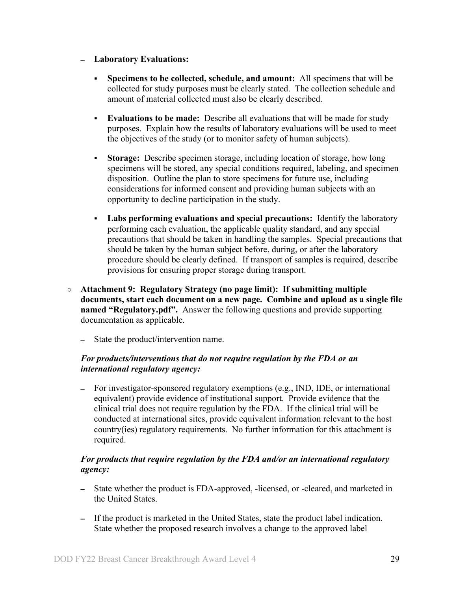#### **Laboratory Evaluations:**

- **Specimens to be collected, schedule, and amount:** All specimens that will be collected for study purposes must be clearly stated. The collection schedule and amount of material collected must also be clearly described.
- **Evaluations to be made:** Describe all evaluations that will be made for study purposes. Explain how the results of laboratory evaluations will be used to meet the objectives of the study (or to monitor safety of human subjects).
- **Storage:** Describe specimen storage, including location of storage, how long specimens will be stored, any special conditions required, labeling, and specimen disposition. Outline the plan to store specimens for future use, including considerations for informed consent and providing human subjects with an opportunity to decline participation in the study.
- **Labs performing evaluations and special precautions:** Identify the laboratory performing each evaluation, the applicable quality standard, and any special precautions that should be taken in handling the samples. Special precautions that should be taken by the human subject before, during, or after the laboratory procedure should be clearly defined. If transport of samples is required, describe provisions for ensuring proper storage during transport.
- <span id="page-28-0"></span>○ **Attachment 9: Regulatory Strategy (no page limit): If submitting multiple documents, start each document on a new page. Combine and upload as a single file named "Regulatory.pdf".** Answer the following questions and provide supporting documentation as applicable.
	- State the product/intervention name.  $\equiv$

## *For products/interventions that do not require regulation by the FDA or an international regulatory agency:*

For investigator-sponsored regulatory exemptions (e.g., IND, IDE, or international equivalent) provide evidence of institutional support. Provide evidence that the clinical trial does not require regulation by the FDA. If the clinical trial will be conducted at international sites, provide equivalent information relevant to the host country(ies) regulatory requirements. No further information for this attachment is required.

## *For products that require regulation by the FDA and/or an international regulatory agency:*

- State whether the product is FDA-approved, -licensed, or -cleared, and marketed in  $\frac{1}{2}$ the United States.
- If the product is marketed in the United States, state the product label indication. State whether the proposed research involves a change to the approved label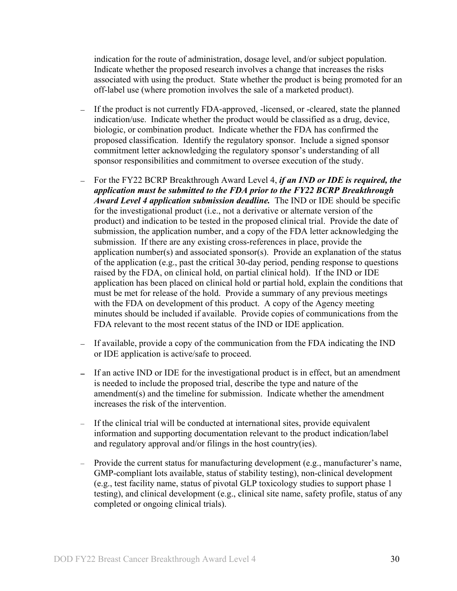indication for the route of administration, dosage level, and/or subject population. Indicate whether the proposed research involves a change that increases the risks associated with using the product. State whether the product is being promoted for an off-label use (where promotion involves the sale of a marketed product).

- If the product is not currently FDA-approved, -licensed, or -cleared, state the planned indication/use. Indicate whether the product would be classified as a drug, device, biologic, or combination product. Indicate whether the FDA has confirmed the proposed classification. Identify the regulatory sponsor. Include a signed sponsor commitment letter acknowledging the regulatory sponsor's understanding of all sponsor responsibilities and commitment to oversee execution of the study.
- For the FY22 BCRP Breakthrough Award Level 4, *if an IND or IDE is required, the application must be submitted to the FDA prior to the FY22 BCRP Breakthrough Award Level 4 application submission deadline.* The IND or IDE should be specific for the investigational product (i.e., not a derivative or alternate version of the product) and indication to be tested in the proposed clinical trial. Provide the date of submission, the application number, and a copy of the FDA letter acknowledging the submission. If there are any existing cross-references in place, provide the application number(s) and associated sponsor(s). Provide an explanation of the status of the application (e.g., past the critical 30-day period, pending response to questions raised by the FDA, on clinical hold, on partial clinical hold). If the IND or IDE application has been placed on clinical hold or partial hold, explain the conditions that must be met for release of the hold. Provide a summary of any previous meetings with the FDA on development of this product. A copy of the Agency meeting minutes should be included if available. Provide copies of communications from the FDA relevant to the most recent status of the IND or IDE application.
- If available, provide a copy of the communication from the FDA indicating the IND or IDE application is active/safe to proceed.
- If an active IND or IDE for the investigational product is in effect, but an amendment is needed to include the proposed trial, describe the type and nature of the amendment(s) and the timeline for submission. Indicate whether the amendment increases the risk of the intervention.
- If the clinical trial will be conducted at international sites, provide equivalent information and supporting documentation relevant to the product indication/label and regulatory approval and/or filings in the host country(ies).
- Provide the current status for manufacturing development (e.g., manufacturer's name, GMP-compliant lots available, status of stability testing), non-clinical development (e.g., test facility name, status of pivotal GLP toxicology studies to support phase 1 testing), and clinical development (e.g., clinical site name, safety profile, status of any completed or ongoing clinical trials).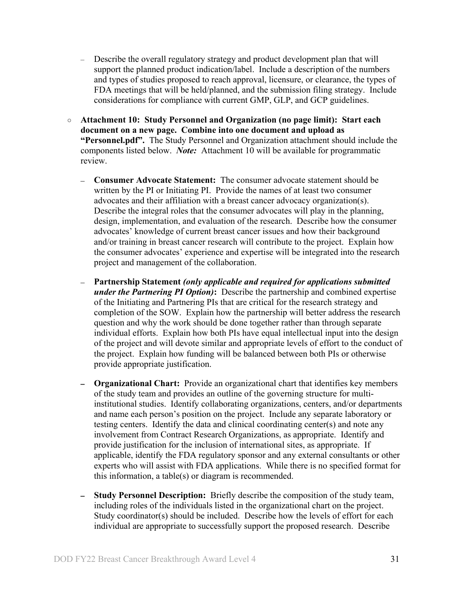- Describe the overall regulatory strategy and product development plan that will support the planned product indication/label.Include a description of the numbers and types of studies proposed to reach approval, licensure, or clearance, the types of FDA meetings that will be held/planned, and the submission filing strategy. Include considerations for compliance with current GMP, GLP, and GCP guidelines.
- **Attachment 10: Study Personnel and Organization (no page limit): Start each document on a new page. Combine into one document and upload as "Personnel.pdf".** The Study Personnel and Organization attachment should include the components listed below. *Note:* Attachment 10 will be available for programmatic review.
	- **Consumer Advocate Statement:** The consumer advocate statement should be written by the PI or Initiating PI. Provide the names of at least two consumer advocates and their affiliation with a breast cancer advocacy organization(s). Describe the integral roles that the consumer advocates will play in the planning, design, implementation, and evaluation of the research. Describe how the consumer advocates' knowledge of current breast cancer issues and how their background and/or training in breast cancer research will contribute to the project. Explain how the consumer advocates' experience and expertise will be integrated into the research project and management of the collaboration.
	- $\equiv$ **Partnership Statement** *(only applicable and required for applications submitted under the Partnering PI Option)***:** Describe the partnership and combined expertise of the Initiating and Partnering PIs that are critical for the research strategy and completion of the SOW. Explain how the partnership will better address the research question and why the work should be done together rather than through separate individual efforts. Explain how both PIs have equal intellectual input into the design of the project and will devote similar and appropriate levels of effort to the conduct of the project. Explain how funding will be balanced between both PIs or otherwise provide appropriate justification.
	- **Organizational Chart:** Provide an organizational chart that identifies key members of the study team and provides an outline of the governing structure for multiinstitutional studies. Identify collaborating organizations, centers, and/or departments and name each person's position on the project. Include any separate laboratory or testing centers. Identify the data and clinical coordinating center(s) and note any involvement from Contract Research Organizations, as appropriate. Identify and provide justification for the inclusion of international sites, as appropriate. If applicable, identify the FDA regulatory sponsor and any external consultants or other experts who will assist with FDA applications. While there is no specified format for this information, a table(s) or diagram is recommended.
	- **Study Personnel Description:** Briefly describe the composition of the study team, including roles of the individuals listed in the organizational chart on the project. Study coordinator(s) should be included. Describe how the levels of effort for each individual are appropriate to successfully support the proposed research. Describe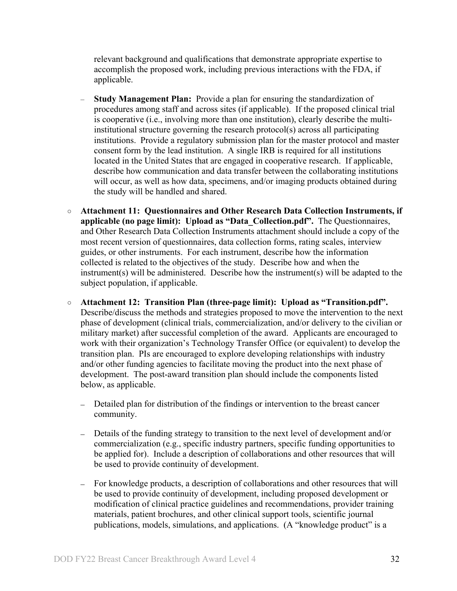relevant background and qualifications that demonstrate appropriate expertise to accomplish the proposed work, including previous interactions with the FDA, if applicable.

- **Study Management Plan:** Provide a plan for ensuring the standardization of procedures among staff and across sites (if applicable). If the proposed clinical trial is cooperative (i.e., involving more than one institution), clearly describe the multiinstitutional structure governing the research protocol(s) across all participating institutions. Provide a regulatory submission plan for the master protocol and master consent form by the lead institution. A single IRB is required for all institutions located in the United States that are engaged in cooperative research. If applicable, describe how communication and data transfer between the collaborating institutions will occur, as well as how data, specimens, and/or imaging products obtained during the study will be handled and shared.
- **Attachment 11: Questionnaires and Other Research Data Collection Instruments, if applicable (no page limit): Upload as "Data\_Collection.pdf".** The Questionnaires, and Other Research Data Collection Instruments attachment should include a copy of the most recent version of questionnaires, data collection forms, rating scales, interview guides, or other instruments. For each instrument, describe how the information collected is related to the objectives of the study. Describe how and when the instrument(s) will be administered. Describe how the instrument(s) will be adapted to the subject population, if applicable.
- **Attachment 12: Transition Plan (three-page limit): Upload as "Transition.pdf".** Describe/discuss the methods and strategies proposed to move the intervention to the next phase of development (clinical trials, commercialization, and/or delivery to the civilian or military market) after successful completion of the award. Applicants are encouraged to work with their organization's Technology Transfer Office (or equivalent) to develop the transition plan. PIs are encouraged to explore developing relationships with industry and/or other funding agencies to facilitate moving the product into the next phase of development. The post-award transition plan should include the components listed below, as applicable.
	- Detailed plan for distribution of the findings or intervention to the breast cancer community.
	- Details of the funding strategy to transition to the next level of development and/or commercialization (e.g., specific industry partners, specific funding opportunities to be applied for). Include a description of collaborations and other resources that will be used to provide continuity of development.
	- For knowledge products, a description of collaborations and other resources that will be used to provide continuity of development, including proposed development or modification of clinical practice guidelines and recommendations, provider training materials, patient brochures, and other clinical support tools, scientific journal publications, models, simulations, and applications. (A "knowledge product" is a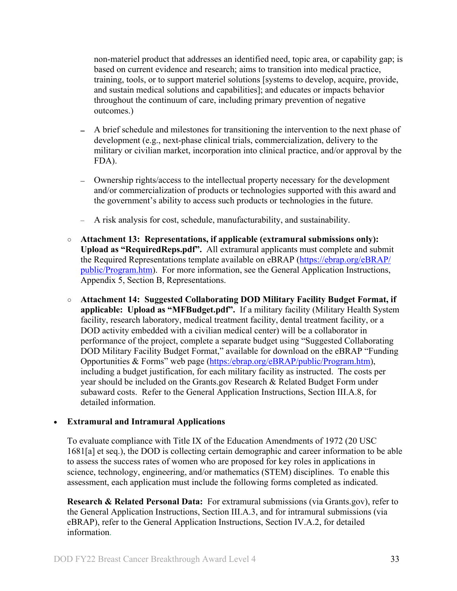non-materiel product that addresses an identified need, topic area, or capability gap; is based on current evidence and research; aims to transition into medical practice, training, tools, or to support materiel solutions [systems to develop, acquire, provide, and sustain medical solutions and capabilities]; and educates or impacts behavior throughout the continuum of care, including primary prevention of negative outcomes.)

- A brief schedule and milestones for transitioning the intervention to the next phase of development (e.g., next-phase clinical trials, commercialization, delivery to the military or civilian market, incorporation into clinical practice, and/or approval by the FDA).
- Ownership rights/access to the intellectual property necessary for the development and/or commercialization of products or technologies supported with this award and the government's ability to access such products or technologies in the future.
- A risk analysis for cost, schedule, manufacturability, and sustainability.
- **Attachment 13: Representations, if applicable (extramural submissions only): Upload as "RequiredReps.pdf".** All extramural applicants must complete and submit the Required Representations template available on eBRAP [\(https://ebrap.org/eBRAP/](https://ebrap.org/eBRAP/public/Program.htm) [public/Program.htm\)](https://ebrap.org/eBRAP/public/Program.htm). For more information, see the General Application Instructions, Appendix 5, Section B, Representations.
- <span id="page-32-1"></span>○ **Attachment 14: Suggested Collaborating DOD Military Facility Budget Format, if applicable: Upload as "MFBudget.pdf".** If a military facility (Military Health System facility, research laboratory, medical treatment facility, dental treatment facility, or a DOD activity embedded with a civilian medical center) will be a collaborator in performance of the project, complete a separate budget using "Suggested Collaborating DOD Military Facility Budget Format," available for download on the eBRAP "Funding Opportunities & Forms" web page [\(https:/ebrap.org/eBRAP/public/Program.htm\)](https://ebrap.org/eBRAP/public/Program.htm), including a budget justification, for each military facility as instructed. The costs per year should be included on the Grants.gov Research & Related Budget Form under subaward costs. Refer to the General Application Instructions, Section III.A.8, for detailed information.

## • **Extramural and Intramural Applications**

To evaluate compliance with Title IX of the Education Amendments of 1972 (20 USC 1681[a] et seq.), the DOD is collecting certain demographic and career information to be able to assess the success rates of women who are proposed for key roles in applications in science, technology, engineering, and/or mathematics (STEM) disciplines. To enable this assessment, each application must include the following forms completed as indicated.

<span id="page-32-0"></span>**Research & Related Personal Data:** For extramural submissions (via Grants.gov), refer to the General Application Instructions, Section III.A.3, and for intramural submissions (via eBRAP), refer to the General Application Instructions, Section IV.A.2, for detailed information.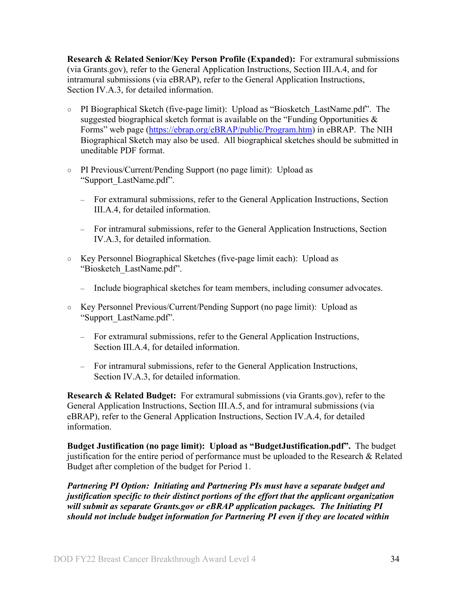<span id="page-33-0"></span>**Research & Related Senior/Key Person Profile (Expanded):** For extramural submissions (via Grants.gov), refer to the General Application Instructions, Section III.A.4, and for intramural submissions (via eBRAP), refer to the General Application Instructions, Section IV.A.3, for detailed information.

- PI Biographical Sketch (five-page limit): Upload as "Biosketch\_LastName.pdf". The suggested biographical sketch format is available on the "Funding Opportunities  $\&$ Forms" web page [\(https://ebrap.org/eBRAP/public/Program.htm\)](https://ebrap.org/eBRAP/public/Program.htm) in eBRAP. The NIH Biographical Sketch may also be used. All biographical sketches should be submitted in uneditable PDF format.
- PI Previous/Current/Pending Support (no page limit): Upload as "Support\_LastName.pdf".
	- For extramural submissions, refer to the General Application Instructions, Section III.A.4, for detailed information.
	- For intramural submissions, refer to the General Application Instructions, Section IV.A.3, for detailed information.
- Key Personnel Biographical Sketches (five-page limit each): Upload as "Biosketch\_LastName.pdf".
	- Include biographical sketches for team members, including consumer advocates.
- Key Personnel Previous/Current/Pending Support (no page limit): Upload as "Support\_LastName.pdf".
	- For extramural submissions, refer to the General Application Instructions, Section III.A.4, for detailed information.
	- For intramural submissions, refer to the General Application Instructions, Section IV.A.3, for detailed information.

<span id="page-33-1"></span>**Research & Related Budget:** For extramural submissions (via Grants.gov), refer to the General Application Instructions, Section III.A.5, and for intramural submissions (via eBRAP), refer to the General Application Instructions, Section IV.A.4, for detailed information.

**Budget Justification (no page limit): Upload as "BudgetJustification.pdf".** The budget justification for the entire period of performance must be uploaded to the Research & Related Budget after completion of the budget for Period 1.

*Partnering PI Option: Initiating and Partnering PIs must have a separate budget and justification specific to their distinct portions of the effort that the applicant organization will submit as separate Grants.gov or eBRAP application packages. The Initiating PI should not include budget information for Partnering PI even if they are located within*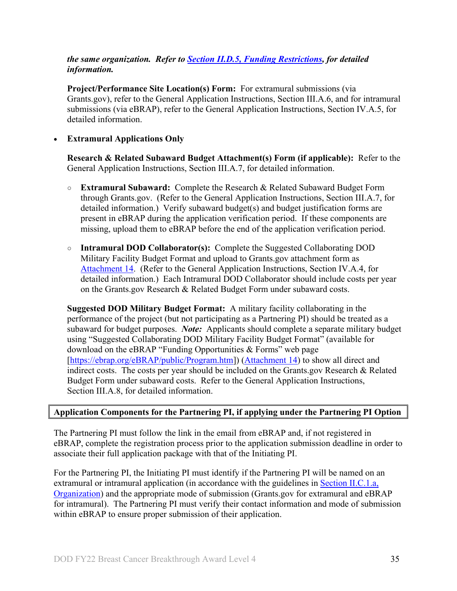## *the same organization. Refer to Section [II.D.5, Funding Restrictions,](#page-39-0) for detailed information.*

**Project/Performance Site Location(s) Form:** For extramural submissions (via Grants.gov), refer to the General Application Instructions, Section III.A.6, and for intramural submissions (via eBRAP), refer to the General Application Instructions, Section IV.A.5, for detailed information.

### • **Extramural Applications Only**

**Research & Related Subaward Budget Attachment(s) Form (if applicable):** Refer to the General Application Instructions, Section III.A.7, for detailed information.

- **Extramural Subaward:** Complete the Research & Related Subaward Budget Form through Grants.gov. (Refer to the General Application Instructions, Section III.A.7, for detailed information.) Verify subaward budget(s) and budget justification forms are present in eBRAP during the application verification period. If these components are missing, upload them to eBRAP before the end of the application verification period.
- **Intramural DOD Collaborator(s):** Complete the Suggested Collaborating DOD Military Facility Budget Format and upload to Grants.gov attachment form as [Attachment 14.](#page-32-1) (Refer to the General Application Instructions, Section IV.A.4, for detailed information.) Each Intramural DOD Collaborator should include costs per year on the Grants.gov Research & Related Budget Form under subaward costs.

**Suggested DOD Military Budget Format:** A military facility collaborating in the performance of the project (but not participating as a Partnering PI) should be treated as a subaward for budget purposes. *Note:* Applicants should complete a separate military budget using "Suggested Collaborating DOD Military Facility Budget Format" (available for download on the eBRAP "Funding Opportunities & Forms" web page [\[https://ebrap.org/eBRAP/public/Program.htm\]](https://ebrap.org/eBRAP/public/Program.htm)) [\(Attachment 14\)](#page-32-1) to show all direct and indirect costs. The costs per year should be included on the Grants.gov Research & Related Budget Form under subaward costs. Refer to the General Application Instructions, Section III.A.8, for detailed information.

#### **Application Components for the Partnering PI, if applying under the Partnering PI Option**

The Partnering PI must follow the link in the email from eBRAP and, if not registered in eBRAP, complete the registration process prior to the application submission deadline in order to associate their full application package with that of the Initiating PI.

For the Partnering PI, the Initiating PI must identify if the Partnering PI will be named on an extramural or intramural application (in accordance with the guidelines in Section [II.C.1.a,](#page-8-2)  [Organization\)](#page-8-2) and the appropriate mode of submission (Grants.gov for extramural and eBRAP for intramural). The Partnering PI must verify their contact information and mode of submission within eBRAP to ensure proper submission of their application.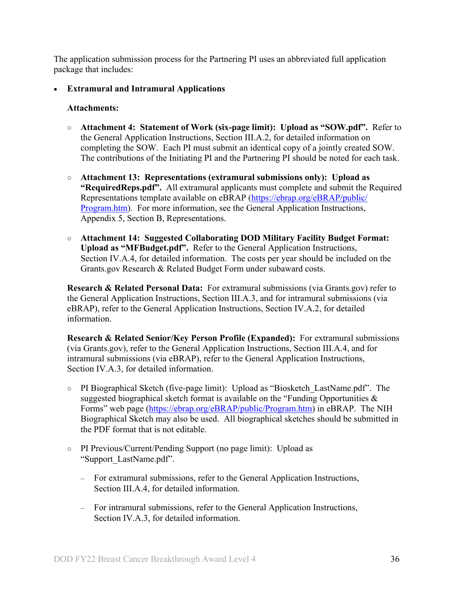The application submission process for the Partnering PI uses an abbreviated full application package that includes:

• **Extramural and Intramural Applications** 

#### **Attachments:**

- **Attachment 4: Statement of Work (six-page limit): Upload as "SOW.pdf".** Refer to the General Application Instructions, Section III.A.2, for detailed information on completing the SOW. Each PI must submit an identical copy of a jointly created SOW. The contributions of the Initiating PI and the Partnering PI should be noted for each task.
- **Attachment 13: Representations (extramural submissions only): Upload as "RequiredReps.pdf".** All extramural applicants must complete and submit the Required Representations template available on eBRAP [\(https://ebrap.org/eBRAP/public/](https://ebrap.org/eBRAP/public/Program.htm) [Program.htm\)](https://ebrap.org/eBRAP/public/Program.htm). For more information, see the General Application Instructions, Appendix 5, Section B, Representations.
- **Attachment 14: Suggested Collaborating DOD Military Facility Budget Format: Upload as "MFBudget.pdf".** Refer to the General Application Instructions, Section IV.A.4, for detailed information. The costs per year should be included on the Grants.gov Research & Related Budget Form under subaward costs.

**Research & Related Personal Data:** For extramural submissions (via Grants.gov) refer to the General Application Instructions, Section III.A.3, and for intramural submissions (via eBRAP), refer to the General Application Instructions, Section IV.A.2, for detailed information.

**Research & Related Senior/Key Person Profile (Expanded):** For extramural submissions (via Grants.gov), refer to the General Application Instructions, Section III.A.4, and for intramural submissions (via eBRAP), refer to the General Application Instructions, Section IV.A.3, for detailed information.

- PI Biographical Sketch (five-page limit): Upload as "Biosketch\_LastName.pdf". The suggested biographical sketch format is available on the "Funding Opportunities  $\&$ Forms" web page [\(https://ebrap.org/eBRAP/public/Program.htm\)](https://ebrap.org/eBRAP/public/Program.htm) in eBRAP. The NIH Biographical Sketch may also be used. All biographical sketches should be submitted in the PDF format that is not editable.
- PI Previous/Current/Pending Support (no page limit): Upload as "Support\_LastName.pdf".
	- For extramural submissions, refer to the General Application Instructions, Section III.A.4, for detailed information.
	- For intramural submissions, refer to the General Application Instructions, Section IV.A.3, for detailed information.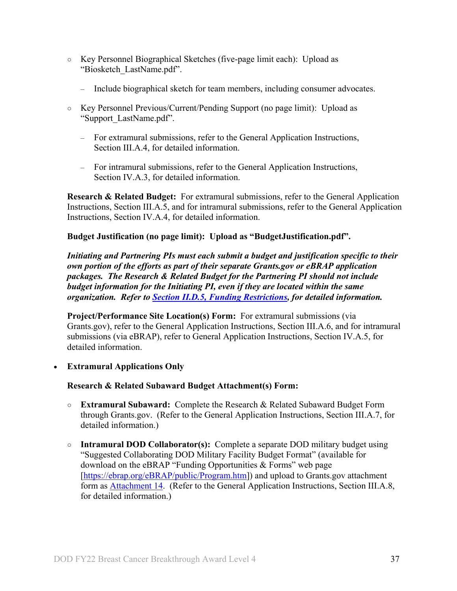- Key Personnel Biographical Sketches (five-page limit each): Upload as "Biosketch\_LastName.pdf".
	- Include biographical sketch for team members, including consumer advocates.
- Key Personnel Previous/Current/Pending Support (no page limit): Upload as "Support\_LastName.pdf".
	- For extramural submissions, refer to the General Application Instructions, Section III.A.4, for detailed information.
	- For intramural submissions, refer to the General Application Instructions, Section IV.A.3, for detailed information.

**Research & Related Budget:** For extramural submissions, refer to the General Application Instructions, Section III.A.5, and for intramural submissions, refer to the General Application Instructions, Section IV.A.4, for detailed information.

## **Budget Justification (no page limit): Upload as "BudgetJustification.pdf".**

*Initiating and Partnering PIs must each submit a budget and justification specific to their own portion of the efforts as part of their separate Grants.gov or eBRAP application packages. The Research & Related Budget for the Partnering PI should not include budget information for the Initiating PI, even if they are located within the same organization. Refer to Section [II.D.5, Funding Restrictions,](#page-39-0) for detailed information.* 

<span id="page-36-0"></span>**Project/Performance Site Location(s) Form:** For extramural submissions (via Grants.gov), refer to the General Application Instructions, Section III.A.6, and for intramural submissions (via eBRAP), refer to General Application Instructions, Section IV.A.5, for detailed information.

• **Extramural Applications Only** 

## <span id="page-36-1"></span>**Research & Related Subaward Budget Attachment(s) Form:**

- **Extramural Subaward:** Complete the Research & Related Subaward Budget Form through Grants.gov. (Refer to the General Application Instructions, Section III.A.7, for detailed information.)
- **Intramural DOD Collaborator(s):** Complete a separate DOD military budget using "Suggested Collaborating DOD Military Facility Budget Format" (available for download on the eBRAP "Funding Opportunities & Forms" web page [\[https://ebrap.org/eBRAP/public/Program.htm\]](https://ebrap.org/eBRAP/public/Program.htm)) and upload to Grants.gov attachment form as [Attachment 14.](#page-32-1) (Refer to the General Application Instructions, Section III.A.8, for detailed information.)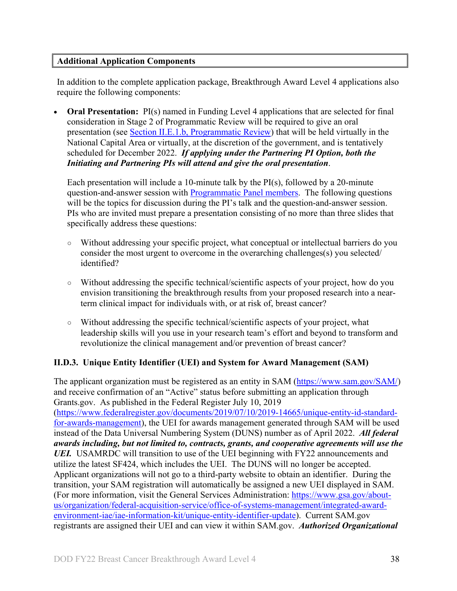## <span id="page-37-1"></span>**Additional Application Components**

In addition to the complete application package, Breakthrough Award Level 4 applications also require the following components:

**Oral Presentation:** PI(s) named in Funding Level 4 applications that are selected for final consideration in Stage 2 of Programmatic Review will be required to give an oral presentation (see Section [II.E.1.b, Programmatic Review\)](#page-45-0) that will be held virtually in the National Capital Area or virtually, at the discretion of the government, and is tentatively scheduled for December 2022. *If applying under the Partnering PI Option, both the Initiating and Partnering PIs will attend and give the oral presentation*.

Each presentation will include a 10-minute talk by the PI(s), followed by a 20-minute question-and-answer session with [Programmatic Panel members.](https://cdmrp.army.mil/bcrp/panels/panels22) The following questions will be the topics for discussion during the PI's talk and the question-and-answer session. PIs who are invited must prepare a presentation consisting of no more than three slides that specifically address these questions:

- Without addressing your specific project, what conceptual or intellectual barriers do you consider the most urgent to overcome in the overarching challenges(s) you selected/ identified?
- Without addressing the specific technical/scientific aspects of your project, how do you envision transitioning the breakthrough results from your proposed research into a nearterm clinical impact for individuals with, or at risk of, breast cancer?
- Without addressing the specific technical/scientific aspects of your project, what leadership skills will you use in your research team's effort and beyond to transform and revolutionize the clinical management and/or prevention of breast cancer?

## <span id="page-37-0"></span>**II.D.3. Unique Entity Identifier (UEI) and System for Award Management (SAM)**

The applicant organization must be registered as an entity in SAM [\(https://www.sam.gov/SAM/\)](https://www.sam.gov/SAM/) and receive confirmation of an "Active" status before submitting an application through Grants.gov. As published in the Federal Register July 10, 2019 [\(https://www.federalregister.gov/documents/2019/07/10/2019-14665/unique-entity-id-standard](https://www.federalregister.gov/documents/2019/07/10/2019-14665/unique-entity-id-standard-for-awards-management)[for-awards-management\)](https://www.federalregister.gov/documents/2019/07/10/2019-14665/unique-entity-id-standard-for-awards-management), the UEI for awards management generated through SAM will be used instead of the Data Universal Numbering System (DUNS) number as of April 2022. *All federal awards including, but not limited to, contracts, grants, and cooperative agreements will use the UEI.* USAMRDC will transition to use of the UEI beginning with FY22 announcements and utilize the latest SF424, which includes the UEI. The DUNS will no longer be accepted. Applicant organizations will not go to a third-party website to obtain an identifier. During the transition, your SAM registration will automatically be assigned a new UEI displayed in SAM. (For more information, visit the General Services Administration: [https://www.gsa.gov/about](https://www.gsa.gov/about-us/organization/federal-acquisition-service/office-of-systems-management/integrated-award-environment-iae/iae-information-kit/unique-entity-identifier-update)[us/organization/federal-acquisition-service/office-of-systems-management/integrated-award](https://www.gsa.gov/about-us/organization/federal-acquisition-service/office-of-systems-management/integrated-award-environment-iae/iae-information-kit/unique-entity-identifier-update)[environment-iae/iae-information-kit/unique-entity-identifier-update\)](https://www.gsa.gov/about-us/organization/federal-acquisition-service/office-of-systems-management/integrated-award-environment-iae/iae-information-kit/unique-entity-identifier-update). Current SAM.gov registrants are assigned their UEI and can view it within SAM.gov. *Authorized Organizational*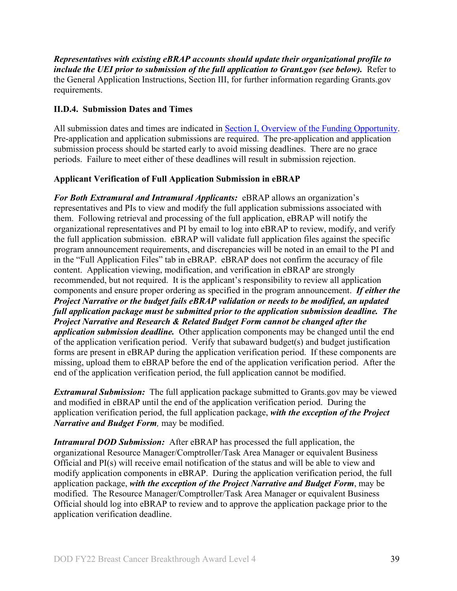*Representatives with existing eBRAP accounts should update their organizational profile to include the UEI prior to submission of the full application to Grant.gov (see below).* Refer to the General Application Instructions, Section III, for further information regarding Grants.gov requirements.

## <span id="page-38-0"></span>**II.D.4. Submission Dates and Times**

All submission dates and times are indicated in **Section I**, Overview of the Funding Opportunity. Pre-application and application submissions are required. The pre-application and application submission process should be started early to avoid missing deadlines. There are no grace periods. Failure to meet either of these deadlines will result in submission rejection.

## <span id="page-38-1"></span>**Applicant Verification of Full Application Submission in eBRAP**

*For Both Extramural and Intramural Applicants:* eBRAP allows an organization's representatives and PIs to view and modify the full application submissions associated with them. Following retrieval and processing of the full application, eBRAP will notify the organizational representatives and PI by email to log into eBRAP to review, modify, and verify the full application submission. eBRAP will validate full application files against the specific program announcement requirements, and discrepancies will be noted in an email to the PI and in the "Full Application Files" tab in eBRAP. eBRAP does not confirm the accuracy of file content. Application viewing, modification, and verification in eBRAP are strongly recommended, but not required. It is the applicant's responsibility to review all application components and ensure proper ordering as specified in the program announcement. *If either the Project Narrative or the budget fails eBRAP validation or needs to be modified, an updated full application package must be submitted prior to the application submission deadline. The Project Narrative and Research & Related Budget Form cannot be changed after the application submission deadline.* Other application components may be changed until the end of the [application verification period.](#page-0-0) Verify that subaward budget(s) and budget justification forms are present in eBRAP during the application verification period. If these components are missing, upload them to eBRAP before the end of the application verification period. After the end of the application verification period, the full application cannot be modified.

*Extramural Submission:* The full application package submitted to Grants.gov may be viewed and modified in eBRAP until the end of the application verification period. During the application verification period, the full application package, *with the exception of the Project Narrative and Budget Form,* may be modified.

*Intramural DOD Submission:* After eBRAP has processed the full application, the organizational Resource Manager/Comptroller/Task Area Manager or equivalent Business Official and PI(s) will receive email notification of the status and will be able to view and modify application components in eBRAP. During the application verification period, the full application package, *with the exception of the Project Narrative and Budget Form*, may be modified. The Resource Manager/Comptroller/Task Area Manager or equivalent Business Official should log into eBRAP to review and to approve the application package prior to the application verification deadline.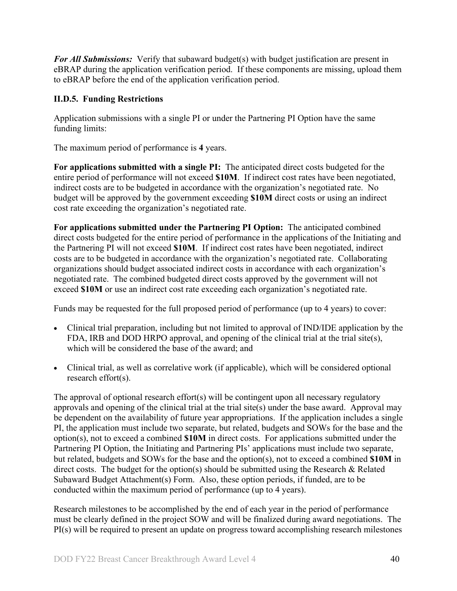*For All Submissions:* Verify that subaward budget(s) with budget justification are present in eBRAP during the application verification period. If these components are missing, upload them to eBRAP before the end of the application verification period.

## <span id="page-39-0"></span>**II.D.5. Funding Restrictions**

Application submissions with a single PI or under the Partnering PI Option have the same funding limits:

The maximum period of performance is **4** years.

**For applications submitted with a single PI:** The anticipated direct costs budgeted for the entire period of performance will not exceed **\$10M**. If indirect cost rates have been negotiated, indirect costs are to be budgeted in accordance with the organization's negotiated rate. No budget will be approved by the government exceeding **\$10M** direct costs or using an indirect cost rate exceeding the organization's negotiated rate.

**For applications submitted under the Partnering PI Option:** The anticipated combined direct costs budgeted for the entire period of performance in the applications of the Initiating and the Partnering PI will not exceed **\$10M**. If indirect cost rates have been negotiated, indirect costs are to be budgeted in accordance with the organization's negotiated rate. Collaborating organizations should budget associated indirect costs in accordance with each organization's negotiated rate. The combined budgeted direct costs approved by the government will not exceed **\$10M** or use an indirect cost rate exceeding each organization's negotiated rate.

Funds may be requested for the full proposed period of performance (up to 4 years) to cover:

- Clinical trial preparation, including but not limited to approval of IND/IDE application by the FDA, IRB and DOD HRPO approval, and opening of the clinical trial at the trial site(s), which will be considered the base of the award; and
- Clinical trial, as well as correlative work (if applicable), which will be considered optional research effort(s).

The approval of optional research effort(s) will be contingent upon all necessary regulatory approvals and opening of the clinical trial at the trial site(s) under the base award. Approval may be dependent on the availability of future year appropriations. If the application includes a single PI, the application must include two separate, but related, budgets and SOWs for the base and the option(s), not to exceed a combined **\$10M** in direct costs. For applications submitted under the Partnering PI Option, the Initiating and Partnering PIs' applications must include two separate, but related, budgets and SOWs for the base and the option(s), not to exceed a combined **\$10M** in direct costs. The budget for the option(s) should be submitted using the Research & Related Subaward Budget Attachment(s) Form. Also, these option periods, if funded, are to be conducted within the maximum period of performance (up to 4 years).

Research milestones to be accomplished by the end of each year in the period of performance must be clearly defined in the project SOW and will be finalized during award negotiations. The PI(s) will be required to present an update on progress toward accomplishing research milestones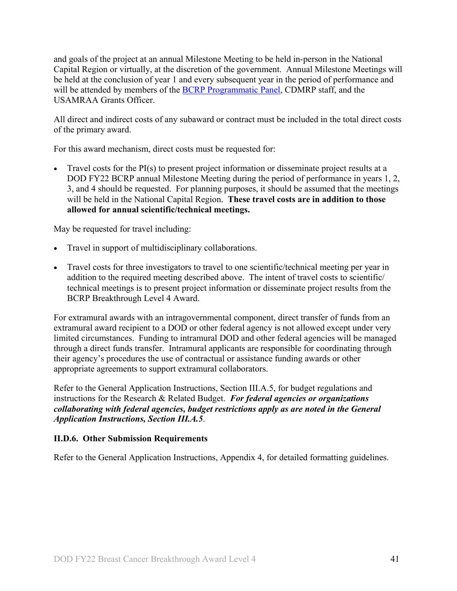and goals of the project at an annual Milestone Meeting to be held in-person in the National Capital Region or virtually, at the discretion of the government. Annual Milestone Meetings will be held at the conclusion of year 1 and every subsequent year in the period of performance and will be attended by members of the **BCRP Programmatic Panel**, CDMRP staff, and the USAMRAA Grants Officer.

All direct and indirect costs of any subaward or contract must be included in the total direct costs of the primary award.

For this award mechanism, direct costs must be requested for:

• Travel costs for the PI(s) to present project information or disseminate project results at a DOD FY22 BCRP annual Milestone Meeting during the period of performance in years 1, 2, 3, and 4 should be requested. For planning purposes, it should be assumed that the meetings will be held in the National Capital Region. **These travel costs are in addition to those allowed for annual scientific/technical meetings.**

May be requested for travel including:

- Travel in support of multidisciplinary collaborations.
- Travel costs for three investigators to travel to one scientific/technical meeting per year in addition to the required meeting described above. The intent of travel costs to scientific/ technical meetings is to present project information or disseminate project results from the BCRP Breakthrough Level 4 Award.

For extramural awards with an intragovernmental component, direct transfer of funds from an extramural award recipient to a DOD or other federal agency is not allowed except under very limited circumstances. Funding to intramural DOD and other federal agencies will be managed through a direct funds transfer. Intramural applicants are responsible for coordinating through their agency's procedures the use of contractual or assistance funding awards or other appropriate agreements to support extramural collaborators.

Refer to the General Application Instructions, Section III.A.5, for budget regulations and instructions for the Research & Related Budget. *For federal agencies or organizations collaborating with federal agencies, budget restrictions apply as are noted in the General Application Instructions, Section III.A.5*.

## <span id="page-40-0"></span>**II.D.6. Other Submission Requirements**

Refer to the General Application Instructions, Appendix 4, for detailed formatting guidelines.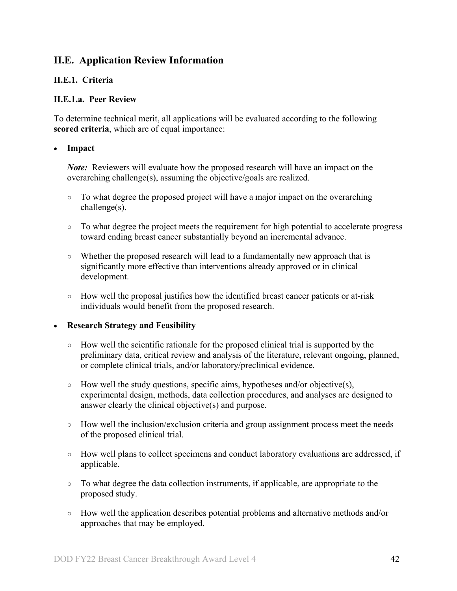## <span id="page-41-0"></span>**II.E. Application Review Information**

### <span id="page-41-1"></span>**II.E.1. Criteria**

#### **II.E.1.a. Peer Review**

To determine technical merit, all applications will be evaluated according to the following **scored criteria**, which are of equal importance:

#### • **Impact**

*Note:* Reviewers will evaluate how the proposed research will have an impact on the overarching challenge(s), assuming the objective/goals are realized.

- To what degree the proposed project will have a major impact on the overarching challenge(s).
- To what degree the project meets the requirement for high potential to accelerate progress toward ending breast cancer substantially beyond an incremental advance.
- Whether the proposed research will lead to a fundamentally new approach that is significantly more effective than interventions already approved or in clinical development.
- How well the proposal justifies how the identified breast cancer patients or at-risk individuals would benefit from the proposed research.

#### • **Research Strategy and Feasibility**

- How well the scientific rationale for the proposed clinical trial is supported by the preliminary data, critical review and analysis of the literature, relevant ongoing, planned, or complete clinical trials, and/or laboratory/preclinical evidence.
- $\circ$  How well the study questions, specific aims, hypotheses and/or objective(s), experimental design, methods, data collection procedures, and analyses are designed to answer clearly the clinical objective(s) and purpose.
- $\circ$  How well the inclusion/exclusion criteria and group assignment process meet the needs of the proposed clinical trial.
- How well plans to collect specimens and conduct laboratory evaluations are addressed, if applicable.
- To what degree the data collection instruments, if applicable, are appropriate to the proposed study.
- How well the application describes potential problems and alternative methods and/or approaches that may be employed.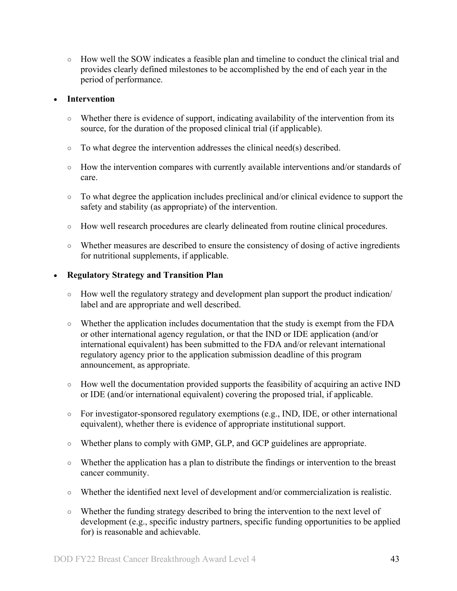○ How well the SOW indicates a feasible plan and timeline to conduct the clinical trial and provides clearly defined milestones to be accomplished by the end of each year in the period of performance.

#### • **Intervention**

- Whether there is evidence of support, indicating availability of the intervention from its source, for the duration of the proposed clinical trial (if applicable).
- $\circ$  To what degree the intervention addresses the clinical need(s) described.
- How the intervention compares with currently available interventions and/or standards of care.
- To what degree the application includes preclinical and/or clinical evidence to support the safety and stability (as appropriate) of the intervention.
- How well research procedures are clearly delineated from routine clinical procedures.
- Whether measures are described to ensure the consistency of dosing of active ingredients for nutritional supplements, if applicable.

#### • **Regulatory Strategy and Transition Plan**

- How well the regulatory strategy and development plan support the product indication/ label and are appropriate and well described.
- Whether the application includes documentation that the study is exempt from the FDA or other international agency regulation, or that the IND or IDE application (and/or international equivalent) has been submitted to the FDA and/or relevant international regulatory agency prior to the application submission deadline of this program announcement, as appropriate.
- How well the documentation provided supports the feasibility of acquiring an active IND or IDE (and/or international equivalent) covering the proposed trial, if applicable.
- For investigator-sponsored regulatory exemptions (e.g., IND, IDE, or other international equivalent), whether there is evidence of appropriate institutional support.
- Whether plans to comply with GMP, GLP, and GCP guidelines are appropriate.
- Whether the application has a plan to distribute the findings or intervention to the breast cancer community.
- Whether the identified next level of development and/or commercialization is realistic.
- Whether the funding strategy described to bring the intervention to the next level of development (e.g., specific industry partners, specific funding opportunities to be applied for) is reasonable and achievable.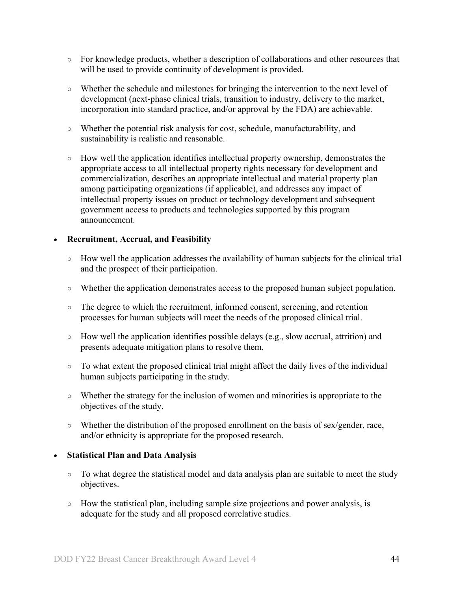- $\circ$  For knowledge products, whether a description of collaborations and other resources that will be used to provide continuity of development is provided.
- Whether the schedule and milestones for bringing the intervention to the next level of development (next-phase clinical trials, transition to industry, delivery to the market, incorporation into standard practice, and/or approval by the FDA) are achievable.
- Whether the potential risk analysis for cost, schedule, manufacturability, and sustainability is realistic and reasonable.
- How well the application identifies intellectual property ownership, demonstrates the appropriate access to all intellectual property rights necessary for development and commercialization, describes an appropriate intellectual and material property plan among participating organizations (if applicable), and addresses any impact of intellectual property issues on product or technology development and subsequent government access to products and technologies supported by this program announcement.

#### • **Recruitment, Accrual, and Feasibility**

- How well the application addresses the availability of human subjects for the clinical trial and the prospect of their participation.
- Whether the application demonstrates access to the proposed human subject population.
- The degree to which the recruitment, informed consent, screening, and retention processes for human subjects will meet the needs of the proposed clinical trial.
- How well the application identifies possible delays (e.g., slow accrual, attrition) and presents adequate mitigation plans to resolve them.
- To what extent the proposed clinical trial might affect the daily lives of the individual human subjects participating in the study.
- Whether the strategy for the inclusion of women and minorities is appropriate to the objectives of the study.
- Whether the distribution of the proposed enrollment on the basis of sex/gender, race, and/or ethnicity is appropriate for the proposed research.

#### • **Statistical Plan and Data Analysis**

- To what degree the statistical model and data analysis plan are suitable to meet the study objectives.
- How the statistical plan, including sample size projections and power analysis, is adequate for the study and all proposed correlative studies.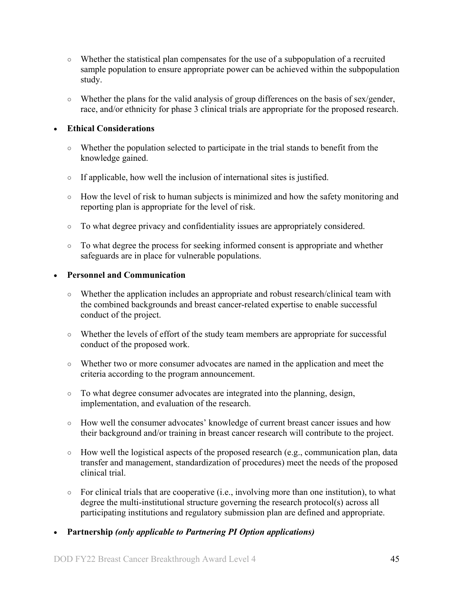- Whether the statistical plan compensates for the use of a subpopulation of a recruited sample population to ensure appropriate power can be achieved within the subpopulation study.
- Whether the plans for the valid analysis of group differences on the basis of sex/gender, race, and/or ethnicity for phase 3 clinical trials are appropriate for the proposed research.

### • **Ethical Considerations**

- Whether the population selected to participate in the trial stands to benefit from the knowledge gained.
- If applicable, how well the inclusion of international sites is justified.
- How the level of risk to human subjects is minimized and how the safety monitoring and reporting plan is appropriate for the level of risk.
- To what degree privacy and confidentiality issues are appropriately considered.
- To what degree the process for seeking informed consent is appropriate and whether safeguards are in place for vulnerable populations.

#### • **Personnel and Communication**

- Whether the application includes an appropriate and robust research/clinical team with the combined backgrounds and breast cancer-related expertise to enable successful conduct of the project.
- Whether the levels of effort of the study team members are appropriate for successful conduct of the proposed work.
- Whether two or more consumer advocates are named in the application and meet the criteria according to the program announcement.
- To what degree consumer advocates are integrated into the planning, design, implementation, and evaluation of the research.
- How well the consumer advocates' knowledge of current breast cancer issues and how their background and/or training in breast cancer research will contribute to the project.
- How well the logistical aspects of the proposed research (e.g., communication plan, data transfer and management, standardization of procedures) meet the needs of the proposed clinical trial.
- For clinical trials that are cooperative (i.e., involving more than one institution), to what degree the multi-institutional structure governing the research protocol(s) across all participating institutions and regulatory submission plan are defined and appropriate.
- **Partnership** *(only applicable to Partnering PI Option applications)*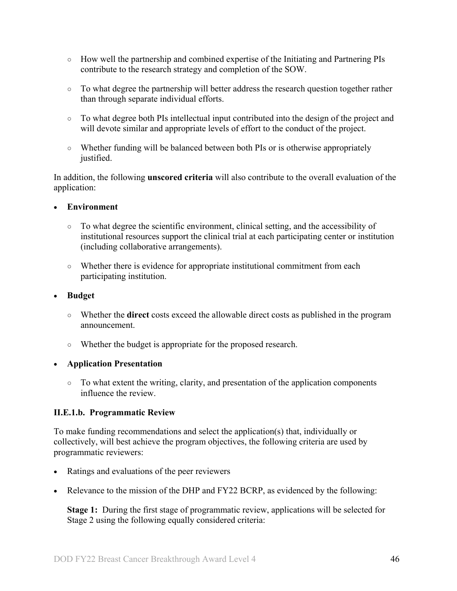- How well the partnership and combined expertise of the Initiating and Partnering PIs contribute to the research strategy and completion of the SOW.
- To what degree the partnership will better address the research question together rather than through separate individual efforts.
- To what degree both PIs intellectual input contributed into the design of the project and will devote similar and appropriate levels of effort to the conduct of the project.
- Whether funding will be balanced between both PIs or is otherwise appropriately justified.

In addition, the following **unscored criteria** will also contribute to the overall evaluation of the application:

## • **Environment**

- To what degree the scientific environment, clinical setting, and the accessibility of institutional resources support the clinical trial at each participating center or institution (including collaborative arrangements).
- Whether there is evidence for appropriate institutional commitment from each participating institution.

## • **Budget**

- Whether the **direct** costs exceed the allowable direct costs as published in the program announcement.
- Whether the budget is appropriate for the proposed research.

## • **Application Presentation**

 $\circ$  To what extent the writing, clarity, and presentation of the application components influence the review.

## <span id="page-45-0"></span>**II.E.1.b. Programmatic Review**

To make funding recommendations and select the application(s) that, individually or collectively, will best achieve the program objectives, the following criteria are used by programmatic reviewers:

- Ratings and evaluations of the peer reviewers
- Relevance to the mission of the DHP and FY22 BCRP, as evidenced by the following:

**Stage 1:** During the first stage of programmatic review, applications will be selected for Stage 2 using the following equally considered criteria: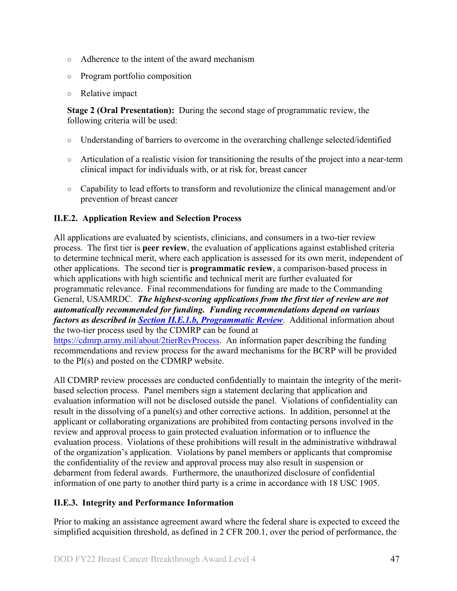- Adherence to the intent of the award mechanism
- Program portfolio composition
- Relative impact

**Stage 2 (Oral Presentation):** During the second stage of programmatic review, the following criteria will be used:

- Understanding of barriers to overcome in the overarching challenge selected/identified
- Articulation of a realistic vision for transitioning the results of the project into a near-term clinical impact for individuals with, or at risk for, breast cancer
- Capability to lead efforts to transform and revolutionize the clinical management and/or prevention of breast cancer

## <span id="page-46-0"></span>**II.E.2. Application Review and Selection Process**

All applications are evaluated by scientists, clinicians, and consumers in a two-tier review process. The first tier is **peer review**, the evaluation of applications against established criteria to determine technical merit, where each application is assessed for its own merit, independent of other applications. The second tier is **programmatic review**, a comparison-based process in which applications with high scientific and technical merit are further evaluated for programmatic relevance. Final recommendations for funding are made to the Commanding General, USAMRDC. *The highest-scoring applications from the first tier of review are not automatically recommended for funding. Funding recommendations depend on various factors as described in Section [II.E.1.b, Programmatic Review](#page-45-0)*. Additional information about the two-tier process used by the CDMRP can be found at

[https://cdmrp.army.mil/about/2tierRevProcess.](https://cdmrp.army.mil/about/2tierRevProcess) An information paper describing the funding recommendations and review process for the award mechanisms for the BCRP will be provided to the PI(s) and posted on the CDMRP website.

All CDMRP review processes are conducted confidentially to maintain the integrity of the meritbased selection process. Panel members sign a statement declaring that application and evaluation information will not be disclosed outside the panel. Violations of confidentiality can result in the dissolving of a panel(s) and other corrective actions. In addition, personnel at the applicant or collaborating organizations are prohibited from contacting persons involved in the review and approval process to gain protected evaluation information or to influence the evaluation process. Violations of these prohibitions will result in the administrative withdrawal of the organization's application. Violations by panel members or applicants that compromise the confidentiality of the review and approval process may also result in suspension or debarment from federal awards. Furthermore, the unauthorized disclosure of confidential information of one party to another third party is a crime in accordance with 18 USC 1905.

## <span id="page-46-1"></span>**II.E.3. Integrity and Performance Information**

Prior to making an assistance agreement award where the federal share is expected to exceed the simplified acquisition threshold, as defined in 2 CFR 200.1, over the period of performance, the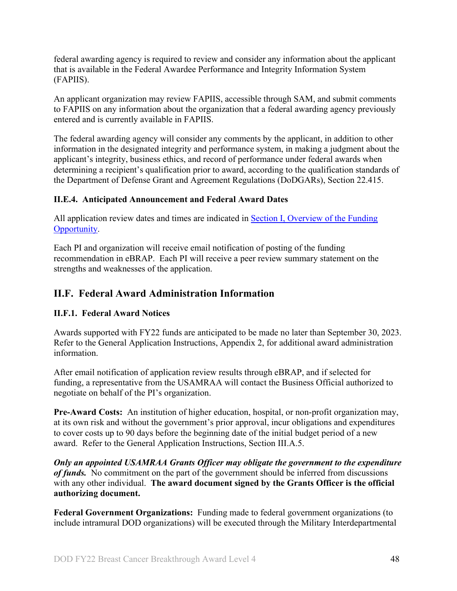federal awarding agency is required to review and consider any information about the applicant that is available in the Federal Awardee Performance and Integrity Information System (FAPIIS).

An applicant organization may review FAPIIS, accessible through SAM, and submit comments to FAPIIS on any information about the organization that a federal awarding agency previously entered and is currently available in FAPIIS.

The federal awarding agency will consider any comments by the applicant, in addition to other information in the designated integrity and performance system, in making a judgment about the applicant's integrity, business ethics, and record of performance under federal awards when determining a recipient's qualification prior to award, according to the qualification standards of the Department of Defense Grant and Agreement Regulations (DoDGARs), Section 22.415.

## <span id="page-47-0"></span>**II.E.4. Anticipated Announcement and Federal Award Dates**

All application review dates and times are indicated in Section [I, Overview of the Funding](#page-0-1)  [Opportunity.](#page-0-1)

Each PI and organization will receive email notification of posting of the funding recommendation in eBRAP. Each PI will receive a peer review summary statement on the strengths and weaknesses of the application.

## <span id="page-47-1"></span>**II.F. Federal Award Administration Information**

## <span id="page-47-2"></span>**II.F.1. Federal Award Notices**

Awards supported with FY22 funds are anticipated to be made no later than September 30, 2023. Refer to the General Application Instructions, Appendix 2, for additional award administration information.

After email notification of application review results through eBRAP, and if selected for funding, a representative from the USAMRAA will contact the Business Official authorized to negotiate on behalf of the PI's organization.

**Pre-Award Costs:** An institution of higher education, hospital, or non-profit organization may, at its own risk and without the government's prior approval, incur obligations and expenditures to cover costs up to 90 days before the beginning date of the initial budget period of a new award. Refer to the General Application Instructions, Section III.A.5.

*Only an appointed USAMRAA Grants Officer may obligate the government to the expenditure of funds.* No commitment on the part of the government should be inferred from discussions with any other individual. **The award document signed by the Grants Officer is the official authorizing document.**

Federal Government Organizations: Funding made to federal government organizations (to include intramural DOD organizations) will be executed through the Military Interdepartmental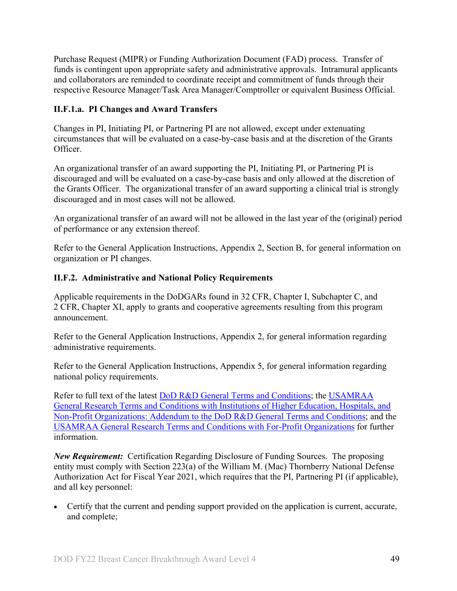Purchase Request (MIPR) or Funding Authorization Document (FAD) process. Transfer of funds is contingent upon appropriate safety and administrative approvals. Intramural applicants and collaborators are reminded to coordinate receipt and commitment of funds through their respective Resource Manager/Task Area Manager/Comptroller or equivalent Business Official.

## **II.F.1.a. PI Changes and Award Transfers**

Changes in PI, Initiating PI, or Partnering PI are not allowed, except under extenuating circumstances that will be evaluated on a case-by-case basis and at the discretion of the Grants Officer.

An organizational transfer of an award supporting the PI, Initiating PI, or Partnering PI is discouraged and will be evaluated on a case-by-case basis and only allowed at the discretion of the Grants Officer. The organizational transfer of an award supporting a clinical trial is strongly discouraged and in most cases will not be allowed.

An organizational transfer of an award will not be allowed in the last year of the (original) period of performance or any extension thereof.

Refer to the General Application Instructions, Appendix 2, Section B, for general information on organization or PI changes.

## <span id="page-48-0"></span>**II.F.2. Administrative and National Policy Requirements**

Applicable requirements in the DoDGARs found in 32 CFR, Chapter I, Subchapter C, and 2 CFR, Chapter XI, apply to grants and cooperative agreements resulting from this program announcement.

Refer to the General Application Instructions, Appendix 2, for general information regarding administrative requirements.

Refer to the General Application Instructions, Appendix 5, for general information regarding national policy requirements.

Refer to full text of the latest [DoD R&D General Terms and Conditions;](https://www.onr.navy.mil/work-with-us/manage-your-award/manage-grant-award/grants-terms-conditions) the [USAMRAA](https://www.usamraa.army.mil/Pages/Resources.aspx)  [General Research Terms and Conditions with Institutions of Higher Education, Hospitals, and](https://www.usamraa.army.mil/Pages/Resources.aspx)  [Non-Profit Organizations: Addendum to the DoD R&D General Terms and Conditions;](https://www.usamraa.army.mil/Pages/Resources.aspx) and the [USAMRAA General Research Terms and Conditions with For-Profit Organizations](https://www.usamraa.army.mil/Pages/Resources.aspx) for further information.

*New Requirement:* Certification Regarding Disclosure of Funding Sources. The proposing entity must comply with Section 223(a) of the William M. (Mac) Thornberry National Defense Authorization Act for Fiscal Year 2021, which requires that the PI, Partnering PI (if applicable), and all key personnel:

• Certify that the current and pending support provided on the application is current, accurate, and complete;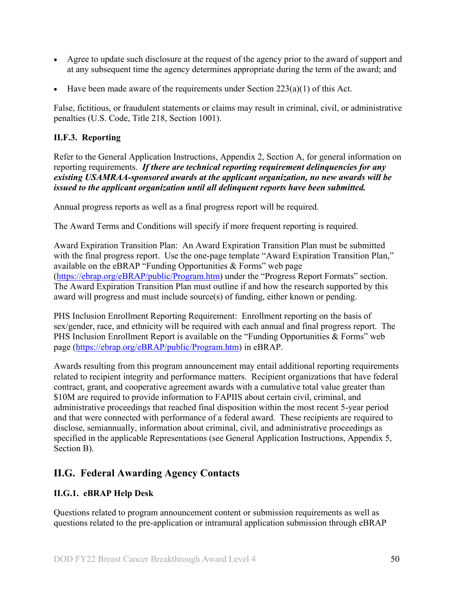- Agree to update such disclosure at the request of the agency prior to the award of support and at any subsequent time the agency determines appropriate during the term of the award; and
- Have been made aware of the requirements under Section  $223(a)(1)$  of this Act.

False, fictitious, or fraudulent statements or claims may result in criminal, civil, or administrative penalties (U.S. Code, Title 218, Section 1001).

## <span id="page-49-0"></span>**II.F.3. Reporting**

Refer to the General Application Instructions, Appendix 2, Section A, for general information on reporting requirements. *If there are technical reporting requirement delinquencies for any existing USAMRAA-sponsored awards at the applicant organization, no new awards will be issued to the applicant organization until all delinquent reports have been submitted.*

Annual progress reports as well as a final progress report will be required.

The Award Terms and Conditions will specify if more frequent reporting is required.

Award Expiration Transition Plan: An Award Expiration Transition Plan must be submitted with the final progress report. Use the one-page template "Award Expiration Transition Plan," available on the eBRAP "Funding Opportunities & Forms" web page [\(https://ebrap.org/eBRAP/public/Program.htm\)](https://ebrap.org/eBRAP/public/Program.htm) under the "Progress Report Formats" section. The Award Expiration Transition Plan must outline if and how the research supported by this award will progress and must include source(s) of funding, either known or pending.

PHS Inclusion Enrollment Reporting Requirement: Enrollment reporting on the basis of sex/gender, race, and ethnicity will be required with each annual and final progress report. The PHS Inclusion Enrollment Report is available on the "Funding Opportunities & Forms" web page [\(https://ebrap.org/eBRAP/public/Program.htm\)](https://ebrap.org/eBRAP/public/Program.htm) in eBRAP.

Awards resulting from this program announcement may entail additional reporting requirements related to recipient integrity and performance matters. Recipient organizations that have federal contract, grant, and cooperative agreement awards with a cumulative total value greater than \$10M are required to provide information to FAPIIS about certain civil, criminal, and administrative proceedings that reached final disposition within the most recent 5-year period and that were connected with performance of a federal award. These recipients are required to disclose, semiannually, information about criminal, civil, and administrative proceedings as specified in the applicable Representations (see General Application Instructions, Appendix 5, Section B).

## <span id="page-49-1"></span>**II.G. Federal Awarding Agency Contacts**

## <span id="page-49-2"></span>**II.G.1. eBRAP Help Desk**

Questions related to program announcement content or submission requirements as well as questions related to the pre-application or intramural application submission through eBRAP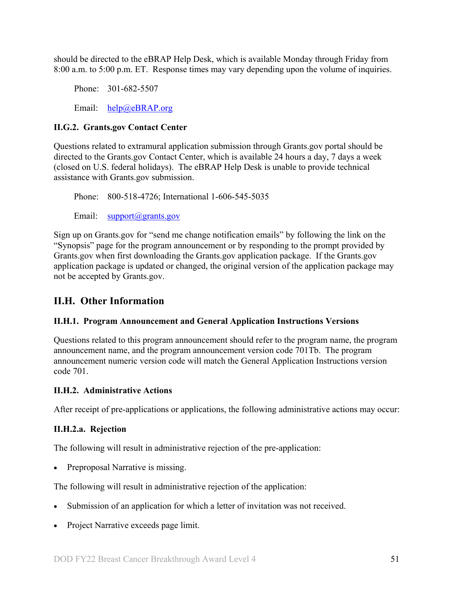should be directed to the eBRAP Help Desk, which is available Monday through Friday from 8:00 a.m. to 5:00 p.m. ET. Response times may vary depending upon the volume of inquiries.

Phone: 301-682-5507 Email: [help@eBRAP.org](mailto:help@eBRAP.org)

## <span id="page-50-0"></span>**II.G.2. Grants.gov Contact Center**

Questions related to extramural application submission through Grants.gov portal should be directed to the Grants.gov Contact Center, which is available 24 hours a day, 7 days a week (closed on U.S. federal holidays). The eBRAP Help Desk is unable to provide technical assistance with Grants.gov submission.

Phone: 800-518-4726; International 1-606-545-5035 Email: [support@grants.gov](mailto:support@grants.gov)

Sign up on Grants.gov for "send me change notification emails" by following the link on the "Synopsis" page for the program announcement or by responding to the prompt provided by Grants.gov when first downloading the Grants.gov application package. If the Grants.gov application package is updated or changed, the original version of the application package may not be accepted by Grants.gov.

## <span id="page-50-1"></span>**II.H. Other Information**

## <span id="page-50-2"></span>**II.H.1. Program Announcement and General Application Instructions Versions**

Questions related to this program announcement should refer to the program name, the program announcement name, and the program announcement version code 701Tb. The program announcement numeric version code will match the General Application Instructions version code 701.

## <span id="page-50-3"></span>**II.H.2. Administrative Actions**

After receipt of pre-applications or applications, the following administrative actions may occur:

## **II.H.2.a. Rejection**

The following will result in administrative rejection of the pre-application:

Preproposal Narrative is missing.

The following will result in administrative rejection of the application:

- Submission of an application for which a letter of invitation was not received.
- Project Narrative exceeds page limit.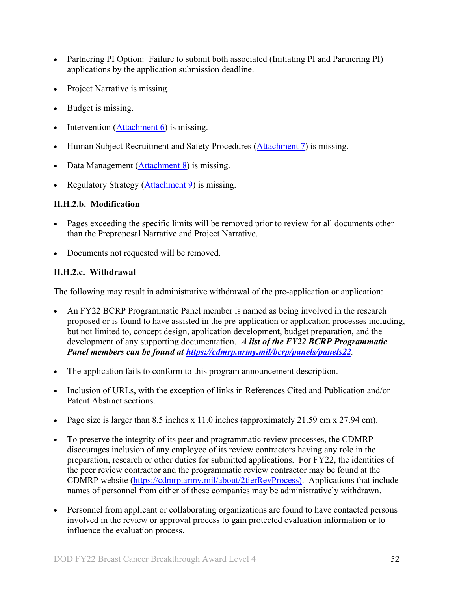- Partnering PI Option: Failure to submit both associated (Initiating PI and Partnering PI) applications by the application submission deadline.
- Project Narrative is missing.
- Budget is missing.
- Intervention [\(Attachment 6\)](#page-23-0) is missing.
- Human Subject Recruitment and Safety Procedures [\(Attachment 7\)](#page-24-0) is missing.
- Data Management [\(Attachment 8\)](#page-27-0) is missing.
- Regulatory Strategy [\(Attachment 9\)](#page-28-0) is missing.

## **II.H.2.b. Modification**

- Pages exceeding the specific limits will be removed prior to review for all documents other than the Preproposal Narrative and Project Narrative.
- Documents not requested will be removed.

## <span id="page-51-0"></span>**II.H.2.c. Withdrawal**

The following may result in administrative withdrawal of the pre-application or application:

- An FY22 BCRP Programmatic Panel member is named as being involved in the research proposed or is found to have assisted in the pre-application or application processes including, but not limited to, concept design, application development, budget preparation, and the development of any supporting documentation. *A list of the FY22 BCRP Programmatic Panel members can be found at<https://cdmrp.army.mil/bcrp/panels/panels22>.*
- The application fails to conform to this program announcement description.
- Inclusion of URLs, with the exception of links in References Cited and Publication and/or Patent Abstract sections.
- Page size is larger than 8.5 inches x 11.0 inches (approximately 21.59 cm x 27.94 cm).
- To preserve the integrity of its peer and programmatic review processes, the CDMRP discourages inclusion of any employee of its review contractors having any role in the preparation, research or other duties for submitted applications. For FY22, the identities of the peer review contractor and the programmatic review contractor may be found at the CDMRP website [\(https://cdmrp.army.mil/about/2tierRevProcess\)](https://cdmrp.army.mil/about/2tierRevProcess). Applications that include names of personnel from either of these companies may be administratively withdrawn.
- Personnel from applicant or collaborating organizations are found to have contacted persons involved in the review or approval process to gain protected evaluation information or to influence the evaluation process.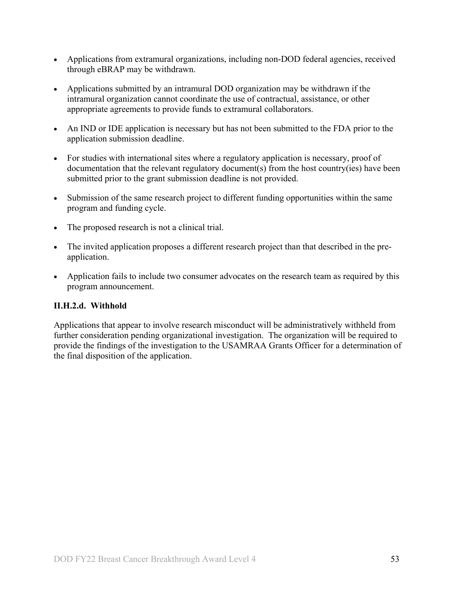- Applications from extramural organizations, including non-DOD federal agencies, received through eBRAP may be withdrawn.
- Applications submitted by an intramural DOD organization may be withdrawn if the intramural organization cannot coordinate the use of contractual, assistance, or other appropriate agreements to provide funds to extramural collaborators.
- An IND or IDE application is necessary but has not been submitted to the FDA prior to the application submission deadline.
- For studies with international sites where a regulatory application is necessary, proof of documentation that the relevant regulatory document(s) from the host country(ies) have been submitted prior to the grant submission deadline is not provided.
- Submission of the same research project to different funding opportunities within the same program and funding cycle.
- The proposed research is not a clinical trial.
- The invited application proposes a different research project than that described in the preapplication.
- Application fails to include two consumer advocates on the research team as required by this program announcement.

## **II.H.2.d. Withhold**

Applications that appear to involve research misconduct will be administratively withheld from further consideration pending organizational investigation. The organization will be required to provide the findings of the investigation to the USAMRAA Grants Officer for a determination of the final disposition of the application.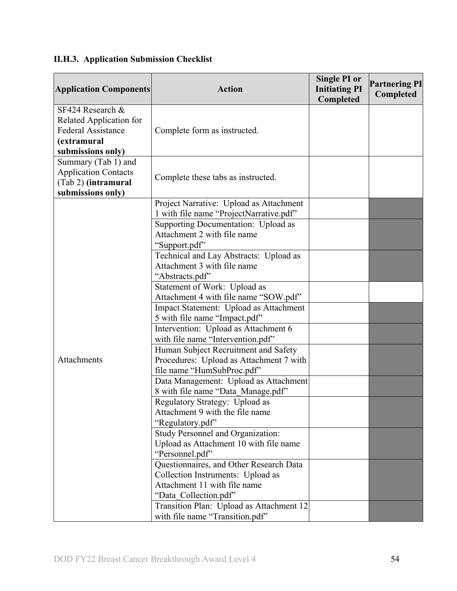| <b>Application Components</b> | <b>Action</b>                                                                      | <b>Single PI or</b><br><b>Initiating PI</b><br>Completed | <b>Partnering PI</b><br>Completed |
|-------------------------------|------------------------------------------------------------------------------------|----------------------------------------------------------|-----------------------------------|
| SF424 Research $\&$           |                                                                                    |                                                          |                                   |
| Related Application for       |                                                                                    |                                                          |                                   |
| <b>Federal Assistance</b>     | Complete form as instructed.                                                       |                                                          |                                   |
| (extramural                   |                                                                                    |                                                          |                                   |
| submissions only)             |                                                                                    |                                                          |                                   |
| Summary (Tab 1) and           |                                                                                    |                                                          |                                   |
| <b>Application Contacts</b>   | Complete these tabs as instructed.                                                 |                                                          |                                   |
| (Tab 2) (intramural           |                                                                                    |                                                          |                                   |
| submissions only)             |                                                                                    |                                                          |                                   |
|                               | Project Narrative: Upload as Attachment<br>1 with file name "ProjectNarrative.pdf" |                                                          |                                   |
|                               | Supporting Documentation: Upload as                                                |                                                          |                                   |
|                               | Attachment 2 with file name                                                        |                                                          |                                   |
|                               | "Support.pdf"                                                                      |                                                          |                                   |
|                               | Technical and Lay Abstracts: Upload as                                             |                                                          |                                   |
|                               | Attachment 3 with file name                                                        |                                                          |                                   |
|                               | "Abstracts.pdf"                                                                    |                                                          |                                   |
|                               | Statement of Work: Upload as                                                       |                                                          |                                   |
|                               | Attachment 4 with file name "SOW.pdf"                                              |                                                          |                                   |
|                               | Impact Statement: Upload as Attachment                                             |                                                          |                                   |
|                               | 5 with file name "Impact.pdf"                                                      |                                                          |                                   |
|                               | Intervention: Upload as Attachment 6                                               |                                                          |                                   |
|                               | with file name "Intervention.pdf"                                                  |                                                          |                                   |
|                               | Human Subject Recruitment and Safety                                               |                                                          |                                   |
| Attachments                   | Procedures: Upload as Attachment 7 with                                            |                                                          |                                   |
|                               | file name "HumSubProc.pdf"                                                         |                                                          |                                   |
|                               | Data Management: Upload as Attachment                                              |                                                          |                                   |
|                               | 8 with file name "Data Manage.pdf"                                                 |                                                          |                                   |
|                               | Regulatory Strategy: Upload as                                                     |                                                          |                                   |
|                               | Attachment 9 with the file name                                                    |                                                          |                                   |
|                               | "Regulatory.pdf"                                                                   |                                                          |                                   |
|                               | Study Personnel and Organization:                                                  |                                                          |                                   |
|                               | Upload as Attachment 10 with file name                                             |                                                          |                                   |
|                               | "Personnel.pdf"                                                                    |                                                          |                                   |
|                               | Questionnaires, and Other Research Data                                            |                                                          |                                   |
|                               | Collection Instruments: Upload as<br>Attachment 11 with file name                  |                                                          |                                   |
|                               |                                                                                    |                                                          |                                   |
|                               | "Data_Collection.pdf"<br>Transition Plan: Upload as Attachment 12                  |                                                          |                                   |
|                               | with file name "Transition.pdf"                                                    |                                                          |                                   |

# <span id="page-53-0"></span>**II.H.3. Application Submission Checklist**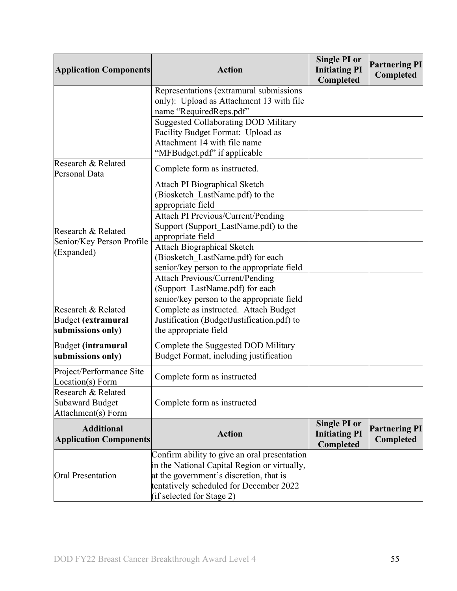| <b>Application Components</b>                                      | <b>Action</b>                                                                                                                                                                                                   | <b>Single PI or</b><br><b>Initiating PI</b><br>Completed | <b>Partnering PI</b><br>Completed |
|--------------------------------------------------------------------|-----------------------------------------------------------------------------------------------------------------------------------------------------------------------------------------------------------------|----------------------------------------------------------|-----------------------------------|
|                                                                    | Representations (extramural submissions<br>only): Upload as Attachment 13 with file<br>name "RequiredReps.pdf"                                                                                                  |                                                          |                                   |
|                                                                    | <b>Suggested Collaborating DOD Military</b><br>Facility Budget Format: Upload as<br>Attachment 14 with file name<br>"MFBudget.pdf" if applicable                                                                |                                                          |                                   |
| Research & Related<br>Personal Data                                | Complete form as instructed.                                                                                                                                                                                    |                                                          |                                   |
|                                                                    | <b>Attach PI Biographical Sketch</b><br>(Biosketch LastName.pdf) to the<br>appropriate field                                                                                                                    |                                                          |                                   |
| Research & Related<br>Senior/Key Person Profile                    | <b>Attach PI Previous/Current/Pending</b><br>Support (Support_LastName.pdf) to the<br>appropriate field                                                                                                         |                                                          |                                   |
| (Expanded)                                                         | <b>Attach Biographical Sketch</b><br>(Biosketch_LastName.pdf) for each<br>senior/key person to the appropriate field                                                                                            |                                                          |                                   |
|                                                                    | <b>Attach Previous/Current/Pending</b><br>(Support_LastName.pdf) for each<br>senior/key person to the appropriate field                                                                                         |                                                          |                                   |
| Research & Related<br>Budget (extramural<br>submissions only)      | Complete as instructed. Attach Budget<br>Justification (BudgetJustification.pdf) to<br>the appropriate field                                                                                                    |                                                          |                                   |
| Budget (intramural<br>submissions only)                            | Complete the Suggested DOD Military<br>Budget Format, including justification                                                                                                                                   |                                                          |                                   |
| Project/Performance Site<br>Location(s) Form                       | Complete form as instructed                                                                                                                                                                                     |                                                          |                                   |
| Research & Related<br><b>Subaward Budget</b><br>Attachment(s) Form | Complete form as instructed                                                                                                                                                                                     |                                                          |                                   |
| <b>Additional</b><br><b>Application Components</b>                 | <b>Action</b>                                                                                                                                                                                                   | <b>Single PI or</b><br><b>Initiating PI</b><br>Completed | <b>Partnering PI</b><br>Completed |
| <b>Oral Presentation</b>                                           | Confirm ability to give an oral presentation<br>in the National Capital Region or virtually,<br>at the government's discretion, that is<br>tentatively scheduled for December 2022<br>(if selected for Stage 2) |                                                          |                                   |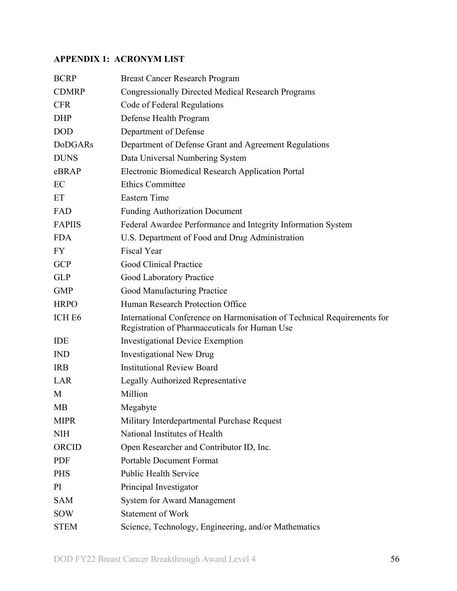## <span id="page-55-0"></span>**APPENDIX 1: ACRONYM LIST**

| <b>BCRP</b>        | <b>Breast Cancer Research Program</b>                                                                                    |
|--------------------|--------------------------------------------------------------------------------------------------------------------------|
| <b>CDMRP</b>       | <b>Congressionally Directed Medical Research Programs</b>                                                                |
| <b>CFR</b>         | Code of Federal Regulations                                                                                              |
| <b>DHP</b>         | Defense Health Program                                                                                                   |
| <b>DOD</b>         | Department of Defense                                                                                                    |
| <b>DoDGARs</b>     | Department of Defense Grant and Agreement Regulations                                                                    |
| <b>DUNS</b>        | Data Universal Numbering System                                                                                          |
| eBRAP              | <b>Electronic Biomedical Research Application Portal</b>                                                                 |
| EC                 | <b>Ethics Committee</b>                                                                                                  |
| ET                 | Eastern Time                                                                                                             |
| FAD                | <b>Funding Authorization Document</b>                                                                                    |
| <b>FAPIIS</b>      | Federal Awardee Performance and Integrity Information System                                                             |
| <b>FDA</b>         | U.S. Department of Food and Drug Administration                                                                          |
| FY                 | <b>Fiscal Year</b>                                                                                                       |
| <b>GCP</b>         | <b>Good Clinical Practice</b>                                                                                            |
| <b>GLP</b>         | Good Laboratory Practice                                                                                                 |
| <b>GMP</b>         | Good Manufacturing Practice                                                                                              |
| <b>HRPO</b>        | Human Research Protection Office                                                                                         |
| ICH E <sub>6</sub> | International Conference on Harmonisation of Technical Requirements for<br>Registration of Pharmaceuticals for Human Use |
| IDE                | <b>Investigational Device Exemption</b>                                                                                  |
| <b>IND</b>         | <b>Investigational New Drug</b>                                                                                          |
| <b>IRB</b>         | <b>Institutional Review Board</b>                                                                                        |
| LAR                | Legally Authorized Representative                                                                                        |
| M                  | Million                                                                                                                  |
| MB                 | Megabyte                                                                                                                 |
| <b>MIPR</b>        | Military Interdepartmental Purchase Request                                                                              |
| <b>NIH</b>         | National Institutes of Health                                                                                            |
| ORCID              | Open Researcher and Contributor ID, Inc.                                                                                 |
| <b>PDF</b>         | <b>Portable Document Format</b>                                                                                          |
| <b>PHS</b>         | <b>Public Health Service</b>                                                                                             |
| PI                 | Principal Investigator                                                                                                   |
| <b>SAM</b>         | <b>System for Award Management</b>                                                                                       |
| <b>SOW</b>         | <b>Statement of Work</b>                                                                                                 |
| <b>STEM</b>        | Science, Technology, Engineering, and/or Mathematics                                                                     |